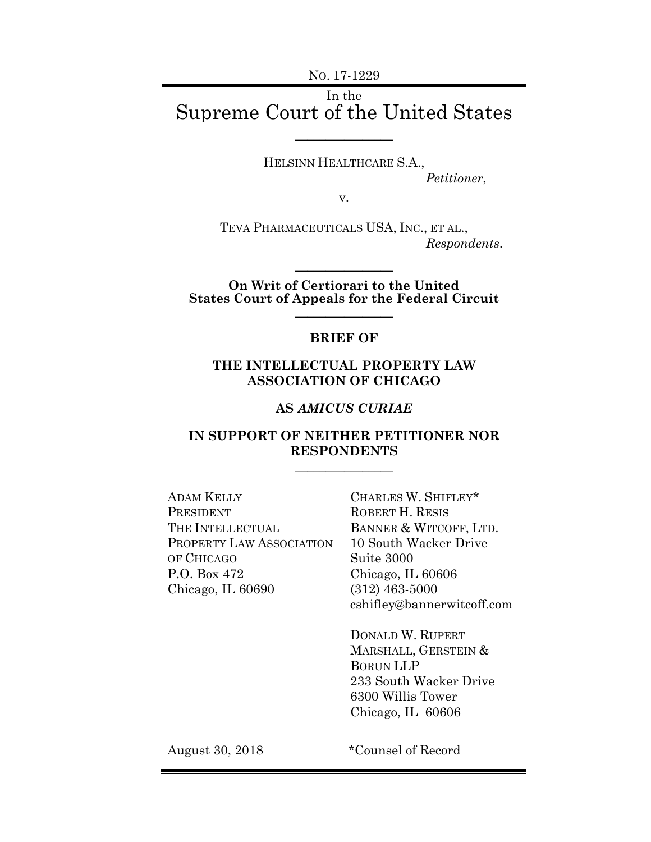NO. 17-1229

## In the Supreme Court of the United States \_\_\_\_\_\_\_\_\_\_\_\_\_\_\_\_

HELSINN HEALTHCARE S.A., *Petitioner*,

v.

TEVA PHARMACEUTICALS USA, INC., ET AL., *Respondents*.

**On Writ of Certiorari to the United States Court of Appeals for the Federal Circuit**  $\frac{1}{2}$ 

 $\frac{1}{2}$ 

#### **BRIEF OF**

#### **THE INTELLECTUAL PROPERTY LAW ASSOCIATION OF CHICAGO**

#### **AS** *AMICUS CURIAE*

### **IN SUPPORT OF NEITHER PETITIONER NOR RESPONDENTS**

 $\frac{1}{2}$ 

ADAM KELLY PRESIDENT THE INTELLECTUAL PROPERTY LAW ASSOCIATION OF CHICAGO P.O. Box 472 Chicago, IL 60690

CHARLES W. SHIFLEY\* ROBERT H. RESIS BANNER & WITCOFF, LTD. 10 South Wacker Drive Suite 3000 Chicago, IL 60606 (312) 463-5000 cshifley@bannerwitcoff.com

DONALD W. RUPERT MARSHALL, GERSTEIN & BORUN LLP 233 South Wacker Drive 6300 Willis Tower Chicago, IL 60606

August 30, 2018 \*Counsel of Record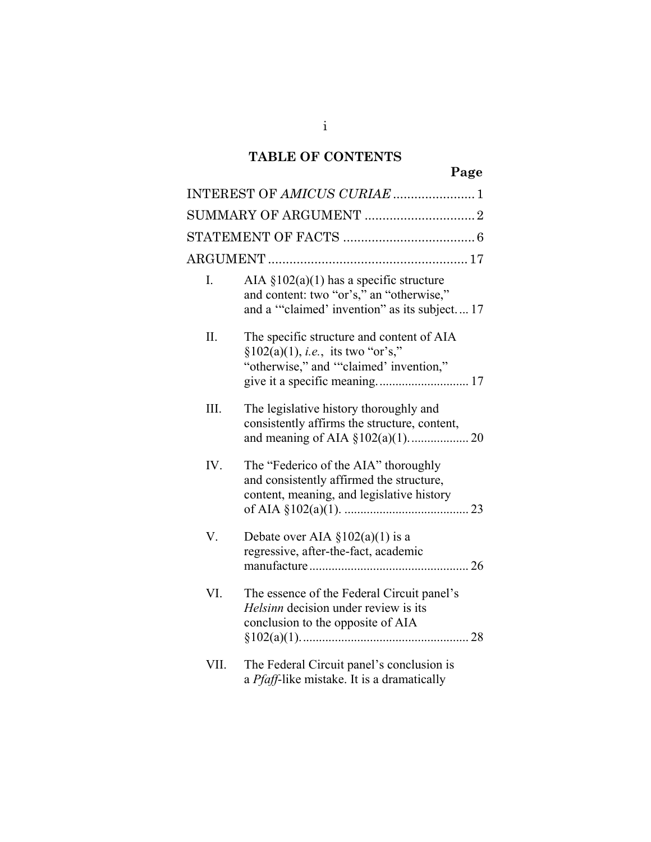# **TABLE OF CONTENTS**

|      |                                                                                                                                         | Page |
|------|-----------------------------------------------------------------------------------------------------------------------------------------|------|
|      | INTEREST OF AMICUS CURIAE  1                                                                                                            |      |
|      |                                                                                                                                         |      |
|      |                                                                                                                                         |      |
|      |                                                                                                                                         |      |
| I.   | AIA $\S 102(a)(1)$ has a specific structure<br>and content: two "or's," an "otherwise,"<br>and a "claimed' invention" as its subject 17 |      |
| Π.   | The specific structure and content of AIA<br>$§102(a)(1), i.e.,$ its two "or's,"<br>"otherwise," and ""claimed' invention,"             |      |
| Ш.   | The legislative history thoroughly and<br>consistently affirms the structure, content,                                                  |      |
| IV.  | The "Federico of the AIA" thoroughly<br>and consistently affirmed the structure,<br>content, meaning, and legislative history           |      |
| V.   | Debate over AIA $\S 102(a)(1)$ is a<br>regressive, after-the-fact, academic                                                             |      |
| VI.  | The essence of the Federal Circuit panel's<br><i>Helsinn</i> decision under review is its<br>conclusion to the opposite of AIA          |      |
| VII. | The Federal Circuit panel's conclusion is<br>a <i>Pfaff</i> -like mistake. It is a dramatically                                         |      |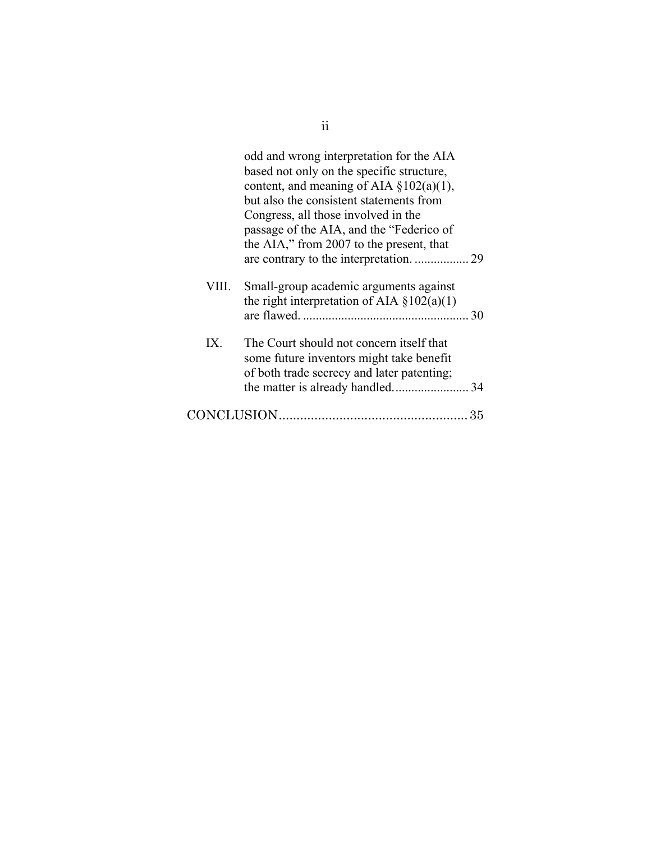|       | odd and wrong interpretation for the AIA<br>based not only on the specific structure,<br>content, and meaning of AIA $\S 102(a)(1)$ ,<br>but also the consistent statements from<br>Congress, all those involved in the<br>passage of the AIA, and the "Federico of<br>the AIA," from 2007 to the present, that |    |
|-------|-----------------------------------------------------------------------------------------------------------------------------------------------------------------------------------------------------------------------------------------------------------------------------------------------------------------|----|
|       | are contrary to the interpretation.  29                                                                                                                                                                                                                                                                         |    |
| VIII. | Small-group academic arguments against<br>the right interpretation of AIA $\S 102(a)(1)$                                                                                                                                                                                                                        | 30 |
| IX.   | The Court should not concern itself that<br>some future inventors might take benefit<br>of both trade secrecy and later patenting;                                                                                                                                                                              |    |
|       |                                                                                                                                                                                                                                                                                                                 | 35 |

ii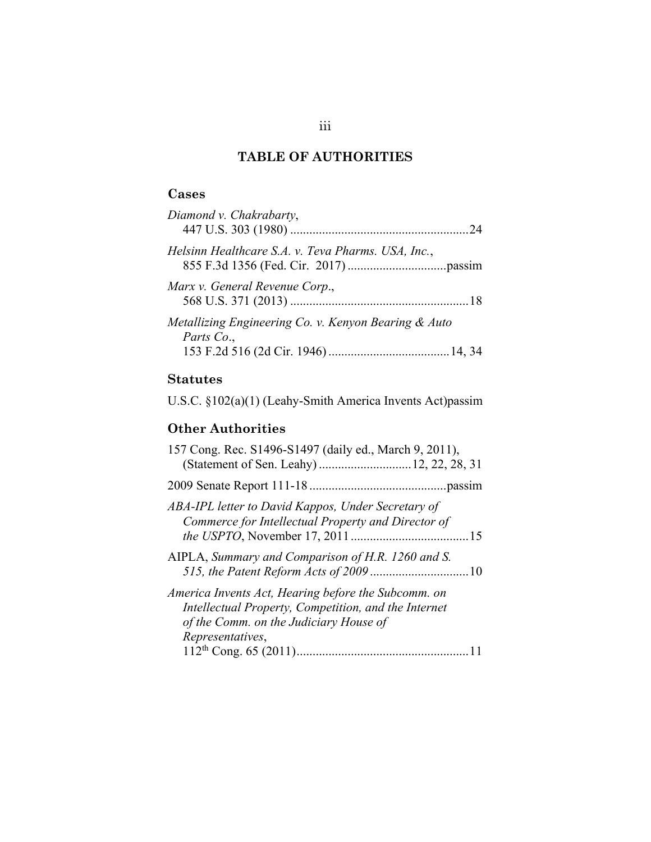## **TABLE OF AUTHORITIES**

## **Cases**

| Diamond v. Chakrabarty,                                            |  |
|--------------------------------------------------------------------|--|
| Helsinn Healthcare S.A. v. Teva Pharms. USA, Inc.,                 |  |
| Marx v. General Revenue Corp.,                                     |  |
| Metallizing Engineering Co. v. Kenyon Bearing & Auto<br>Parts Co., |  |

## **Statutes**

U.S.C. §102(a)(1) (Leahy-Smith America Invents Act)passim

## **Other Authorities**

| 157 Cong. Rec. S1496-S1497 (daily ed., March 9, 2011),<br>(Statement of Sen. Leahy)  12, 22, 28, 31                                                                       |
|---------------------------------------------------------------------------------------------------------------------------------------------------------------------------|
|                                                                                                                                                                           |
| ABA-IPL letter to David Kappos, Under Secretary of<br>Commerce for Intellectual Property and Director of                                                                  |
| AIPLA, Summary and Comparison of H.R. 1260 and S.                                                                                                                         |
| America Invents Act, Hearing before the Subcomm. on<br>Intellectual Property, Competition, and the Internet<br>of the Comm. on the Judiciary House of<br>Representatives, |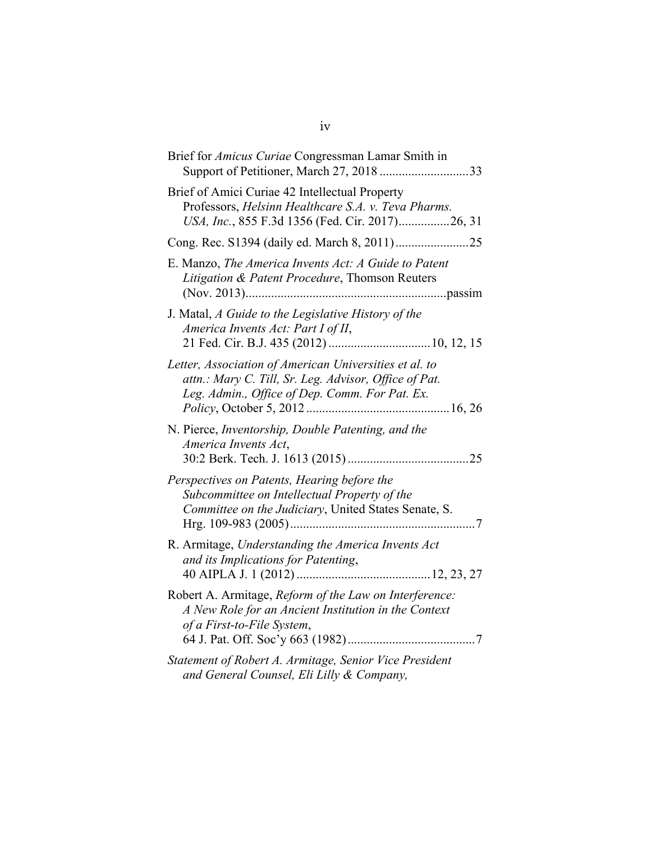| Brief for <i>Amicus Curiae</i> Congressman Lamar Smith in<br>Support of Petitioner, March 27, 201833                                                              |
|-------------------------------------------------------------------------------------------------------------------------------------------------------------------|
| Brief of Amici Curiae 42 Intellectual Property<br>Professors, Helsinn Healthcare S.A. v. Teva Pharms.<br>USA, Inc., 855 F.3d 1356 (Fed. Cir. 2017)26, 31          |
|                                                                                                                                                                   |
| E. Manzo, The America Invents Act: A Guide to Patent<br>Litigation & Patent Procedure, Thomson Reuters                                                            |
| J. Matal, A Guide to the Legislative History of the<br>America Invents Act: Part I of II,                                                                         |
| Letter, Association of American Universities et al. to<br>attn.: Mary C. Till, Sr. Leg. Advisor, Office of Pat.<br>Leg. Admin., Office of Dep. Comm. For Pat. Ex. |
| N. Pierce, Inventorship, Double Patenting, and the<br>America Invents Act,                                                                                        |
| Perspectives on Patents, Hearing before the<br>Subcommittee on Intellectual Property of the<br>Committee on the Judiciary, United States Senate, S.               |
| R. Armitage, Understanding the America Invents Act<br>and its Implications for Patenting,                                                                         |
| Robert A. Armitage, Reform of the Law on Interference:<br>A New Role for an Ancient Institution in the Context<br>of a First-to-File System,                      |
| Statement of Robert A. Armitage, Senior Vice President<br>and General Counsel, Eli Lilly & Company,                                                               |

iv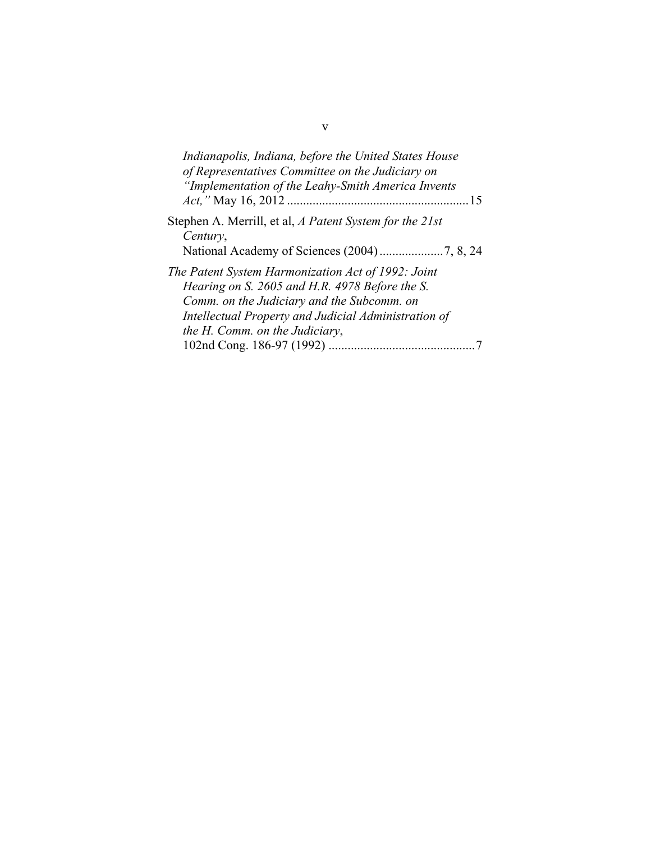| Indianapolis, Indiana, before the United States House<br>of Representatives Committee on the Judiciary on<br>"Implementation of the Leahy-Smith America Invents                                                                              |
|----------------------------------------------------------------------------------------------------------------------------------------------------------------------------------------------------------------------------------------------|
| Stephen A. Merrill, et al, A Patent System for the 21st<br>Century,                                                                                                                                                                          |
| The Patent System Harmonization Act of 1992: Joint<br>Hearing on S. 2605 and H.R. 4978 Before the S.<br>Comm. on the Judiciary and the Subcomm. on<br>Intellectual Property and Judicial Administration of<br>the H. Comm. on the Judiciary, |

v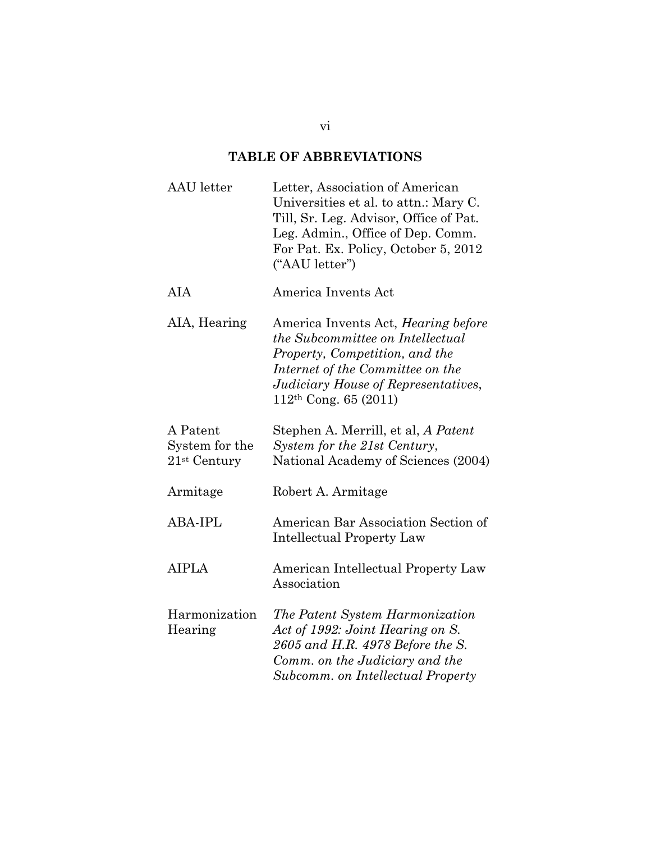# **TABLE OF ABBREVIATIONS**

| <b>AAU</b> letter                                        | Letter, Association of American<br>Universities et al. to attn.: Mary C.<br>Till, Sr. Leg. Advisor, Office of Pat.<br>Leg. Admin., Office of Dep. Comm.<br>For Pat. Ex. Policy, October 5, 2012<br>("AAU letter")      |
|----------------------------------------------------------|------------------------------------------------------------------------------------------------------------------------------------------------------------------------------------------------------------------------|
| AIA                                                      | America Invents Act                                                                                                                                                                                                    |
| AIA, Hearing                                             | America Invents Act, <i>Hearing before</i><br>the Subcommittee on Intellectual<br>Property, Competition, and the<br>Internet of the Committee on the<br>Judiciary House of Representatives,<br>$112th$ Cong. 65 (2011) |
| A Patent<br>System for the<br>$21$ <sup>st</sup> Century | Stephen A. Merrill, et al, A Patent<br>System for the 21st Century,<br>National Academy of Sciences (2004)                                                                                                             |
| Armitage                                                 | Robert A. Armitage                                                                                                                                                                                                     |
| <b>ABA-IPL</b>                                           | American Bar Association Section of<br><b>Intellectual Property Law</b>                                                                                                                                                |
| <b>AIPLA</b>                                             | American Intellectual Property Law<br>Association                                                                                                                                                                      |
| Harmonization<br>Hearing                                 | The Patent System Harmonization<br>Act of 1992: Joint Hearing on S.<br>2605 and H.R. 4978 Before the S.<br>Comm. on the Judiciary and the<br>Subcomm. on Intellectual Property                                         |

vi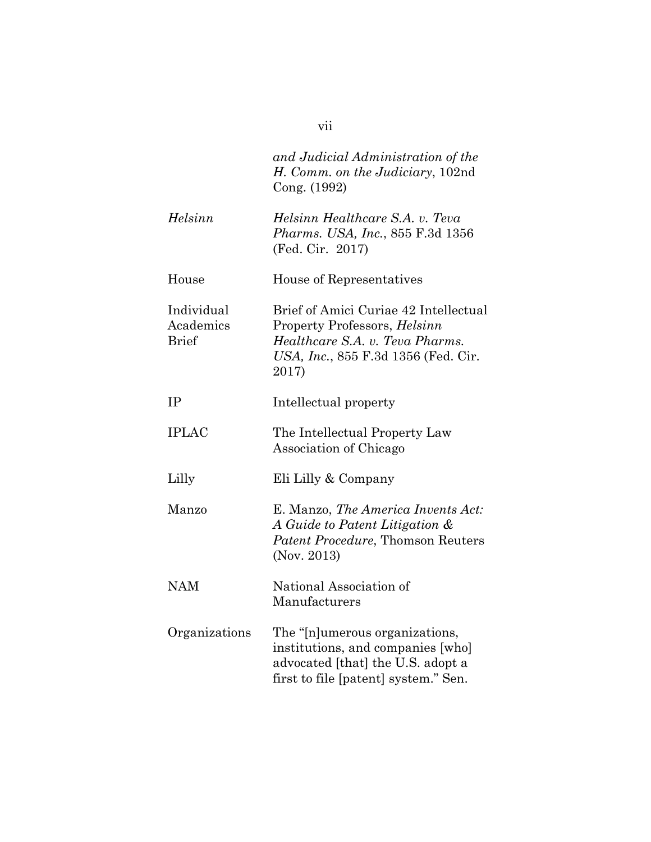|                                         | and Judicial Administration of the<br>H. Comm. on the Judiciary, 102nd<br>Cong. (1992)                                                                   |
|-----------------------------------------|----------------------------------------------------------------------------------------------------------------------------------------------------------|
| Helsinn                                 | Helsinn Healthcare S.A. v. Teva<br>Pharms. USA, Inc., 855 F.3d 1356<br>(Fed. Cir. 2017)                                                                  |
| House                                   | House of Representatives                                                                                                                                 |
| Individual<br>Academics<br><b>Brief</b> | Brief of Amici Curiae 42 Intellectual<br>Property Professors, Helsinn<br>Healthcare S.A. v. Teva Pharms.<br>USA, Inc., 855 F.3d 1356 (Fed. Cir.<br>2017) |
| IP                                      | Intellectual property                                                                                                                                    |
| <b>IPLAC</b>                            | The Intellectual Property Law<br>Association of Chicago                                                                                                  |
| Lilly                                   | Eli Lilly & Company                                                                                                                                      |
| Manzo                                   | E. Manzo, The America Invents Act:<br>A Guide to Patent Litigation &<br>Patent Procedure, Thomson Reuters<br>(Nov. 2013)                                 |
| <b>NAM</b>                              | National Association of<br>Manufacturers                                                                                                                 |
| Organizations                           | The "[n]umerous organizations,<br>institutions, and companies [who]<br>advocated [that] the U.S. adopt a<br>first to file [patent] system." Sen.         |

vii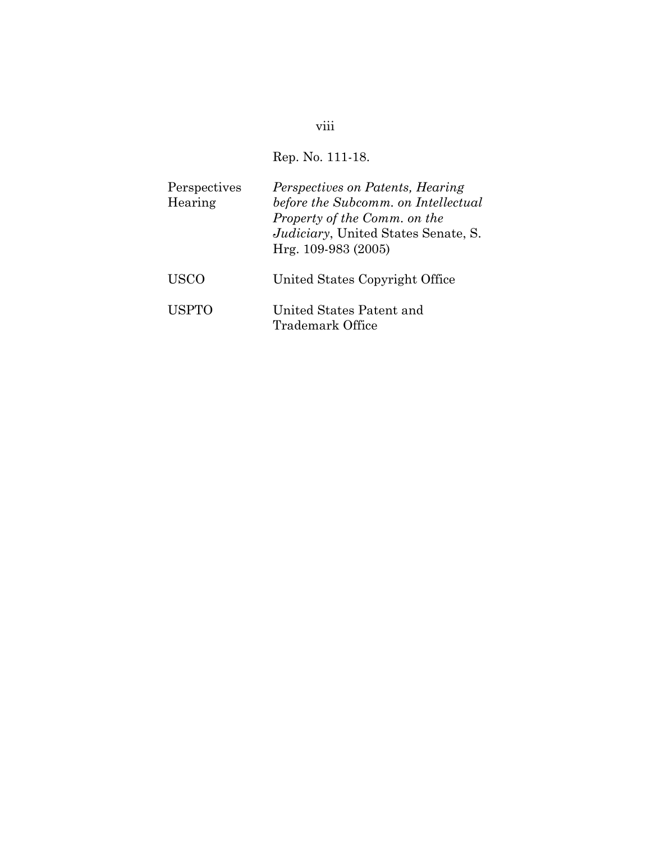# viii

# Rep. No. 111-18.

| Perspectives<br>Hearing | Perspectives on Patents, Hearing<br>before the Subcomm. on Intellectual<br>Property of the Comm. on the<br>Judiciary, United States Senate, S.<br>Hrg. 109-983 (2005) |
|-------------------------|-----------------------------------------------------------------------------------------------------------------------------------------------------------------------|
| <b>USCO</b>             | United States Copyright Office                                                                                                                                        |
| <b>USPTO</b>            | United States Patent and<br>Trademark Office                                                                                                                          |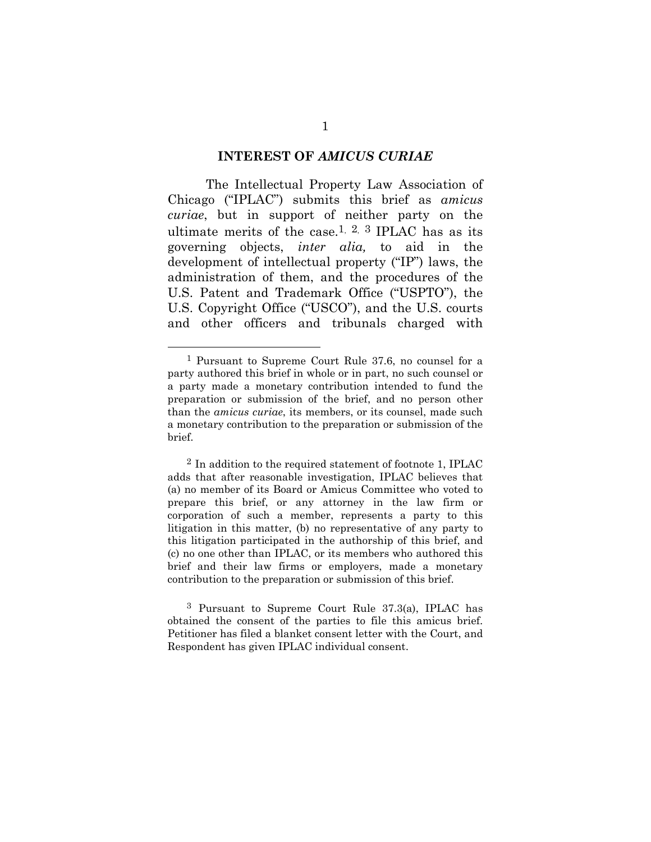#### **INTEREST OF** *AMICUS CURIAE*

The Intellectual Property Law Association of Chicago ("IPLAC") submits this brief as *amicus curiae*, but in support of neither party on the ultimate merits of the case.<sup>1, 2, 3</sup> IPLAC has as its governing objects, *inter alia,* to aid in the development of intellectual property ("IP") laws, the administration of them, and the procedures of the U.S. Patent and Trademark Office ("USPTO"), the U.S. Copyright Office ("USCO"), and the U.S. courts and other officers and tribunals charged with

 <sup>1</sup> Pursuant to Supreme Court Rule 37.6, no counsel for a party authored this brief in whole or in part, no such counsel or a party made a monetary contribution intended to fund the preparation or submission of the brief, and no person other than the *amicus curiae*, its members, or its counsel, made such a monetary contribution to the preparation or submission of the brief.

 $2$  In addition to the required statement of footnote 1, IPLAC adds that after reasonable investigation, IPLAC believes that (a) no member of its Board or Amicus Committee who voted to prepare this brief, or any attorney in the law firm or corporation of such a member, represents a party to this litigation in this matter, (b) no representative of any party to this litigation participated in the authorship of this brief, and (c) no one other than IPLAC, or its members who authored this brief and their law firms or employers, made a monetary contribution to the preparation or submission of this brief.

<sup>3</sup> Pursuant to Supreme Court Rule 37.3(a), IPLAC has obtained the consent of the parties to file this amicus brief. Petitioner has filed a blanket consent letter with the Court, and Respondent has given IPLAC individual consent.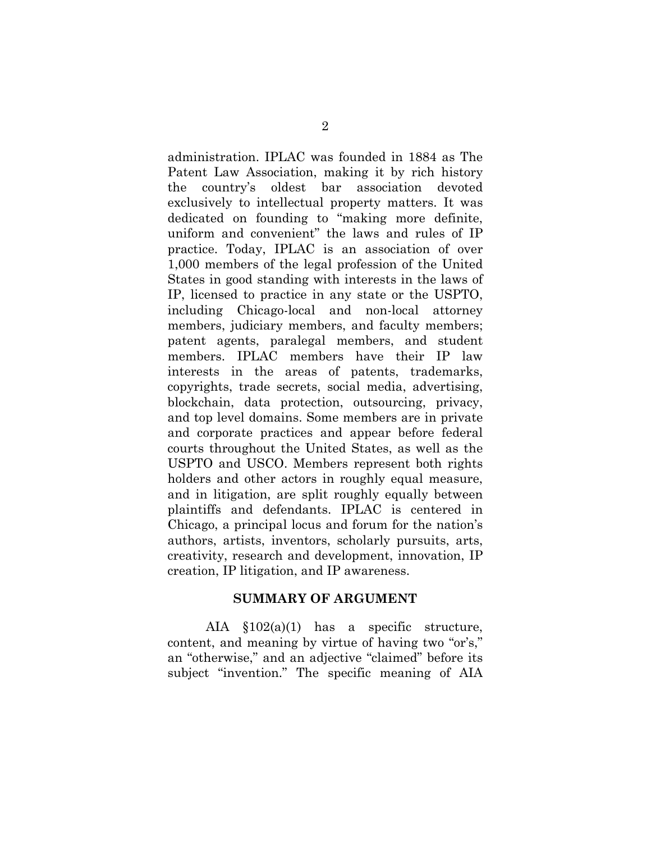administration. IPLAC was founded in 1884 as The Patent Law Association, making it by rich history the country's oldest bar association devoted exclusively to intellectual property matters. It was dedicated on founding to "making more definite, uniform and convenient" the laws and rules of IP practice. Today, IPLAC is an association of over 1,000 members of the legal profession of the United States in good standing with interests in the laws of IP, licensed to practice in any state or the USPTO, including Chicago-local and non-local attorney members, judiciary members, and faculty members; patent agents, paralegal members, and student members. IPLAC members have their IP law interests in the areas of patents, trademarks, copyrights, trade secrets, social media, advertising, blockchain, data protection, outsourcing, privacy, and top level domains. Some members are in private and corporate practices and appear before federal courts throughout the United States, as well as the USPTO and USCO. Members represent both rights holders and other actors in roughly equal measure, and in litigation, are split roughly equally between plaintiffs and defendants. IPLAC is centered in Chicago, a principal locus and forum for the nation's authors, artists, inventors, scholarly pursuits, arts, creativity, research and development, innovation, IP creation, IP litigation, and IP awareness.

#### **SUMMARY OF ARGUMENT**

AIA §102(a)(1) has a specific structure, content, and meaning by virtue of having two "or's," an "otherwise," and an adjective "claimed" before its subject "invention." The specific meaning of AIA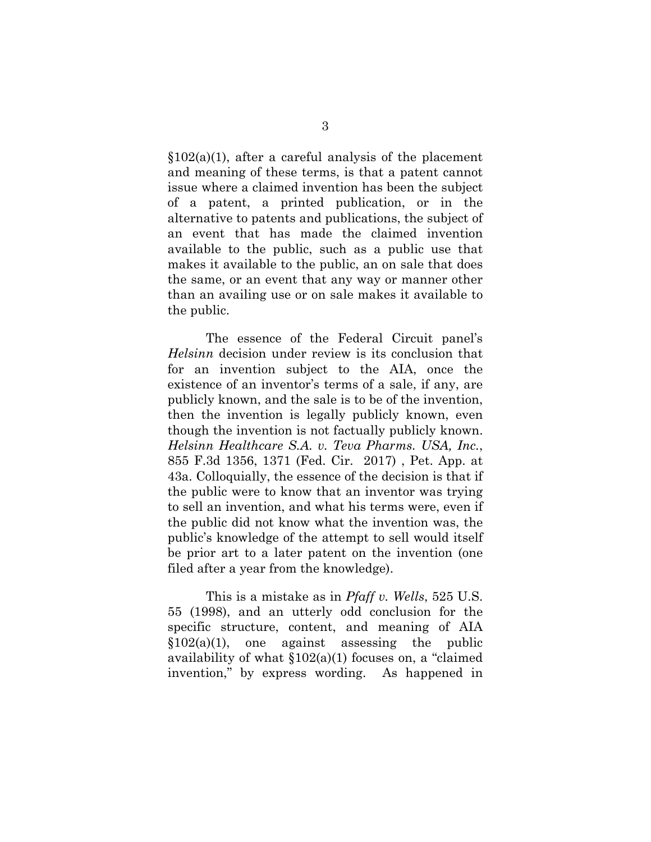$$102(a)(1)$ , after a careful analysis of the placement and meaning of these terms, is that a patent cannot issue where a claimed invention has been the subject of a patent, a printed publication, or in the alternative to patents and publications, the subject of an event that has made the claimed invention available to the public, such as a public use that makes it available to the public, an on sale that does the same, or an event that any way or manner other than an availing use or on sale makes it available to the public.

The essence of the Federal Circuit panel's *Helsinn* decision under review is its conclusion that for an invention subject to the AIA, once the existence of an inventor's terms of a sale, if any, are publicly known, and the sale is to be of the invention, then the invention is legally publicly known, even though the invention is not factually publicly known. *Helsinn Healthcare S.A. v. Teva Pharms. USA, Inc.*, 855 F.3d 1356, 1371 (Fed. Cir. 2017) , Pet. App. at 43a. Colloquially, the essence of the decision is that if the public were to know that an inventor was trying to sell an invention, and what his terms were, even if the public did not know what the invention was, the public's knowledge of the attempt to sell would itself be prior art to a later patent on the invention (one filed after a year from the knowledge).

This is a mistake as in *Pfaff v. Wells*, 525 U.S. 55 (1998), and an utterly odd conclusion for the specific structure, content, and meaning of AIA  $$102(a)(1)$ , one against assessing the public availability of what  $$102(a)(1)$  focuses on, a "claimed" invention," by express wording. As happened in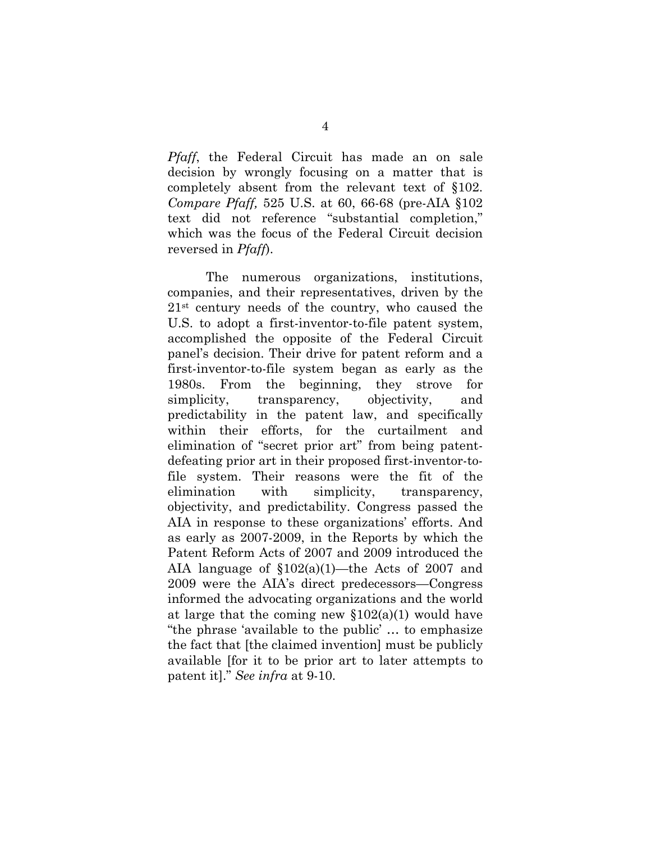*Pfaff*, the Federal Circuit has made an on sale decision by wrongly focusing on a matter that is completely absent from the relevant text of §102. *Compare Pfaff,* 525 U.S. at 60, 66-68 (pre-AIA §102 text did not reference "substantial completion," which was the focus of the Federal Circuit decision reversed in *Pfaff*).

The numerous organizations, institutions, companies, and their representatives, driven by the 21st century needs of the country, who caused the U.S. to adopt a first-inventor-to-file patent system, accomplished the opposite of the Federal Circuit panel's decision. Their drive for patent reform and a first-inventor-to-file system began as early as the 1980s. From the beginning, they strove for simplicity, transparency, objectivity, and predictability in the patent law, and specifically within their efforts, for the curtailment and elimination of "secret prior art" from being patentdefeating prior art in their proposed first-inventor-tofile system. Their reasons were the fit of the elimination with simplicity, transparency, objectivity, and predictability. Congress passed the AIA in response to these organizations' efforts. And as early as 2007-2009, in the Reports by which the Patent Reform Acts of 2007 and 2009 introduced the AIA language of §102(a)(1)—the Acts of 2007 and 2009 were the AIA's direct predecessors—Congress informed the advocating organizations and the world at large that the coming new  $$102(a)(1)$  would have "the phrase 'available to the public' … to emphasize the fact that [the claimed invention] must be publicly available [for it to be prior art to later attempts to patent it]." *See infra* at 9-10.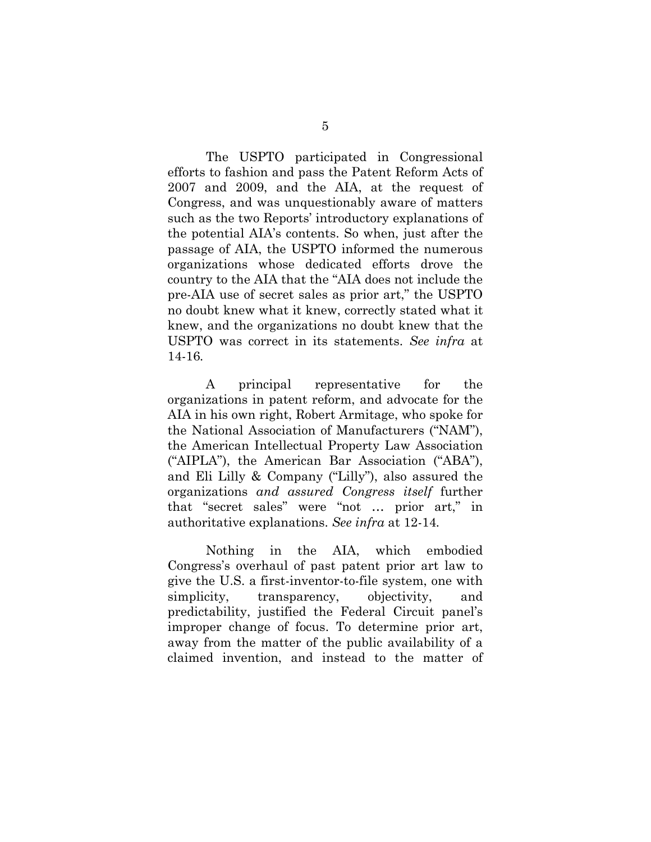The USPTO participated in Congressional efforts to fashion and pass the Patent Reform Acts of 2007 and 2009, and the AIA, at the request of Congress, and was unquestionably aware of matters such as the two Reports' introductory explanations of the potential AIA's contents. So when, just after the passage of AIA, the USPTO informed the numerous organizations whose dedicated efforts drove the country to the AIA that the "AIA does not include the pre-AIA use of secret sales as prior art," the USPTO no doubt knew what it knew, correctly stated what it knew, and the organizations no doubt knew that the USPTO was correct in its statements. *See infra* at 14-16*.* 

A principal representative for the organizations in patent reform, and advocate for the AIA in his own right, Robert Armitage, who spoke for the National Association of Manufacturers ("NAM"), the American Intellectual Property Law Association ("AIPLA"), the American Bar Association ("ABA"), and Eli Lilly & Company ("Lilly"), also assured the organizations *and assured Congress itself* further that "secret sales" were "not … prior art," in authoritative explanations. *See infra* at 12-14*.* 

Nothing in the AIA, which embodied Congress's overhaul of past patent prior art law to give the U.S. a first-inventor-to-file system, one with simplicity, transparency, objectivity, and predictability, justified the Federal Circuit panel's improper change of focus. To determine prior art, away from the matter of the public availability of a claimed invention, and instead to the matter of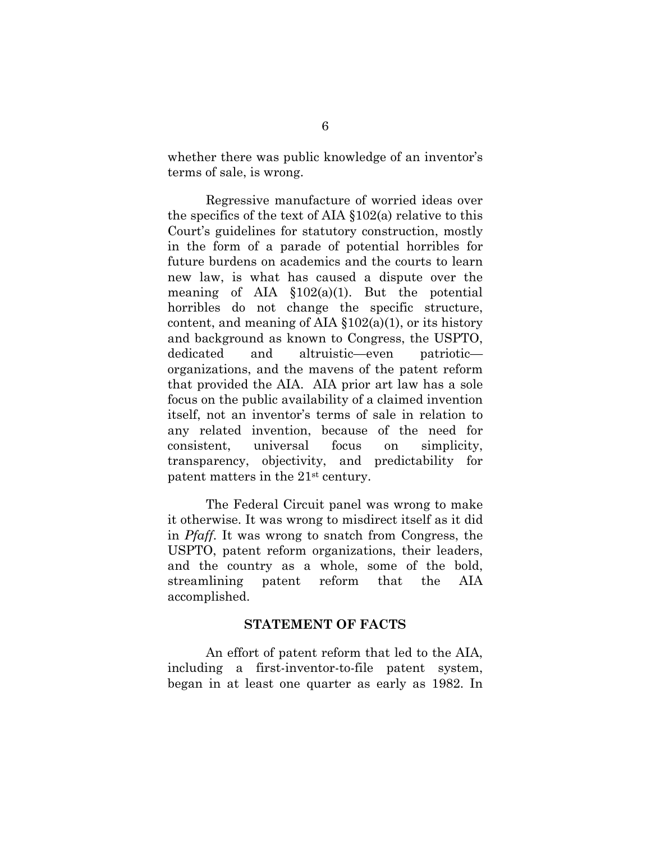whether there was public knowledge of an inventor's terms of sale, is wrong.

Regressive manufacture of worried ideas over the specifics of the text of AIA §102(a) relative to this Court's guidelines for statutory construction, mostly in the form of a parade of potential horribles for future burdens on academics and the courts to learn new law, is what has caused a dispute over the meaning of AIA  $$102(a)(1)$ . But the potential horribles do not change the specific structure, content, and meaning of AIA  $$102(a)(1)$ , or its history and background as known to Congress, the USPTO, dedicated and altruistic—even patriotic organizations, and the mavens of the patent reform that provided the AIA. AIA prior art law has a sole focus on the public availability of a claimed invention itself, not an inventor's terms of sale in relation to any related invention, because of the need for consistent, universal focus on simplicity, transparency, objectivity, and predictability for patent matters in the 21st century.

The Federal Circuit panel was wrong to make it otherwise. It was wrong to misdirect itself as it did in *Pfaff*. It was wrong to snatch from Congress, the USPTO, patent reform organizations, their leaders, and the country as a whole, some of the bold, streamlining patent reform that the AIA accomplished.

#### **STATEMENT OF FACTS**

 An effort of patent reform that led to the AIA, including a first-inventor-to-file patent system, began in at least one quarter as early as 1982. In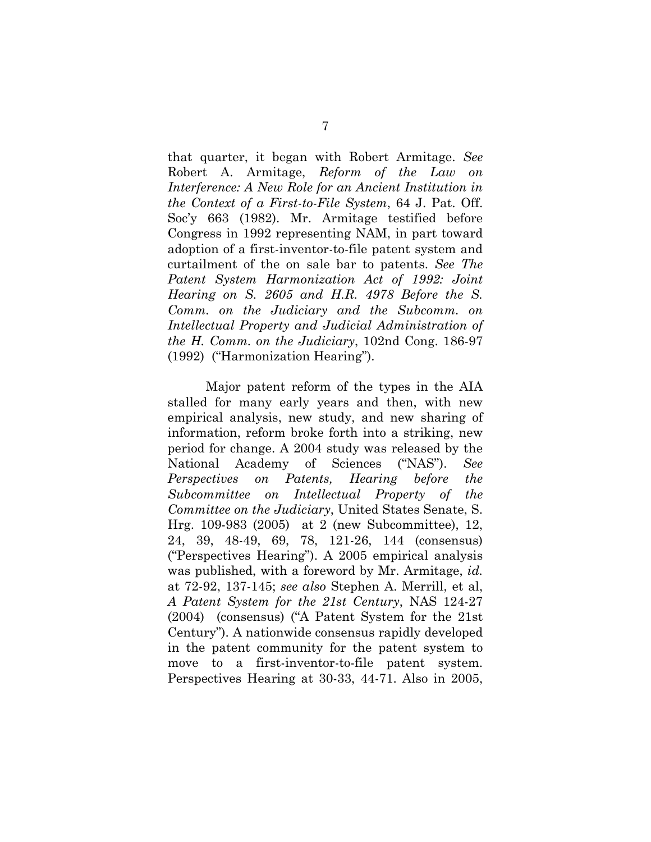that quarter, it began with Robert Armitage. *See* Robert A. Armitage, *Reform of the Law on Interference: A New Role for an Ancient Institution in the Context of a First-to-File System*, 64 J. Pat. Off. Soc'y 663 (1982). Mr. Armitage testified before Congress in 1992 representing NAM, in part toward adoption of a first-inventor-to-file patent system and curtailment of the on sale bar to patents. *See The Patent System Harmonization Act of 1992: Joint Hearing on S. 2605 and H.R. 4978 Before the S. Comm. on the Judiciary and the Subcomm. on Intellectual Property and Judicial Administration of the H. Comm. on the Judiciary*, 102nd Cong. 186-97 (1992) ("Harmonization Hearing").

Major patent reform of the types in the AIA stalled for many early years and then, with new empirical analysis, new study, and new sharing of information, reform broke forth into a striking, new period for change. A 2004 study was released by the National Academy of Sciences ("NAS"). *See Perspectives on Patents, Hearing before the Subcommittee on Intellectual Property of the Committee on the Judiciary*, United States Senate, S. Hrg. 109-983 (2005) at 2 (new Subcommittee), 12, 24, 39, 48-49, 69, 78, 121-26, 144 (consensus) ("Perspectives Hearing"). A 2005 empirical analysis was published, with a foreword by Mr. Armitage, *id.* at 72-92, 137-145; *see also* Stephen A. Merrill, et al, *A Patent System for the 21st Century*, NAS 124-27 (2004) (consensus) ("A Patent System for the 21st Century"). A nationwide consensus rapidly developed in the patent community for the patent system to move to a first-inventor-to-file patent system. Perspectives Hearing at 30-33, 44-71. Also in 2005,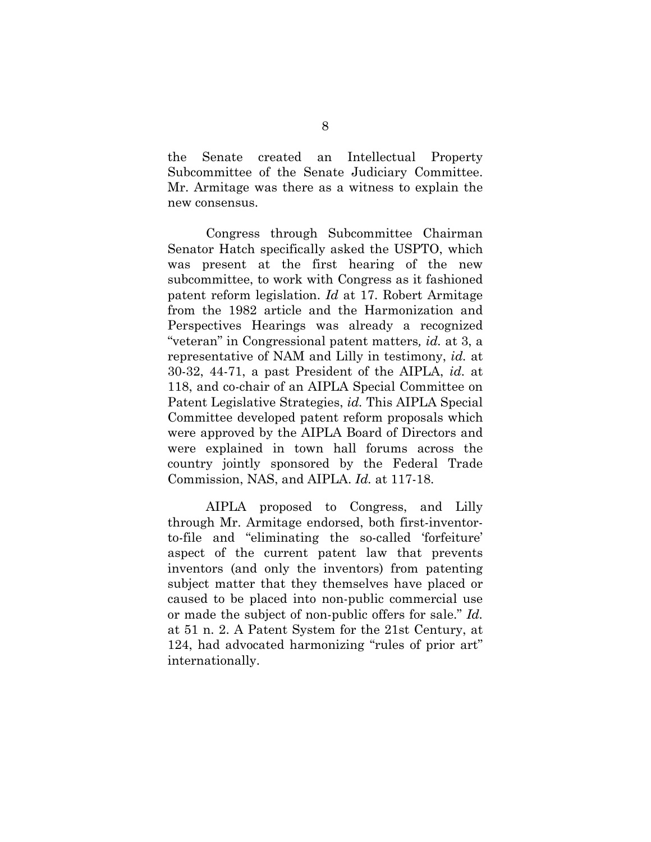the Senate created an Intellectual Property Subcommittee of the Senate Judiciary Committee. Mr. Armitage was there as a witness to explain the new consensus.

Congress through Subcommittee Chairman Senator Hatch specifically asked the USPTO, which was present at the first hearing of the new subcommittee, to work with Congress as it fashioned patent reform legislation. *Id* at 17. Robert Armitage from the 1982 article and the Harmonization and Perspectives Hearings was already a recognized "veteran" in Congressional patent matters*, id.* at 3, a representative of NAM and Lilly in testimony, *id.* at 30-32, 44-71, a past President of the AIPLA, *id.* at 118, and co-chair of an AIPLA Special Committee on Patent Legislative Strategies, *id.* This AIPLA Special Committee developed patent reform proposals which were approved by the AIPLA Board of Directors and were explained in town hall forums across the country jointly sponsored by the Federal Trade Commission, NAS, and AIPLA. *Id.* at 117-18.

AIPLA proposed to Congress, and Lilly through Mr. Armitage endorsed, both first-inventorto-file and "eliminating the so-called 'forfeiture' aspect of the current patent law that prevents inventors (and only the inventors) from patenting subject matter that they themselves have placed or caused to be placed into non-public commercial use or made the subject of non-public offers for sale." *Id.* at 51 n. 2. A Patent System for the 21st Century, at 124, had advocated harmonizing "rules of prior art" internationally.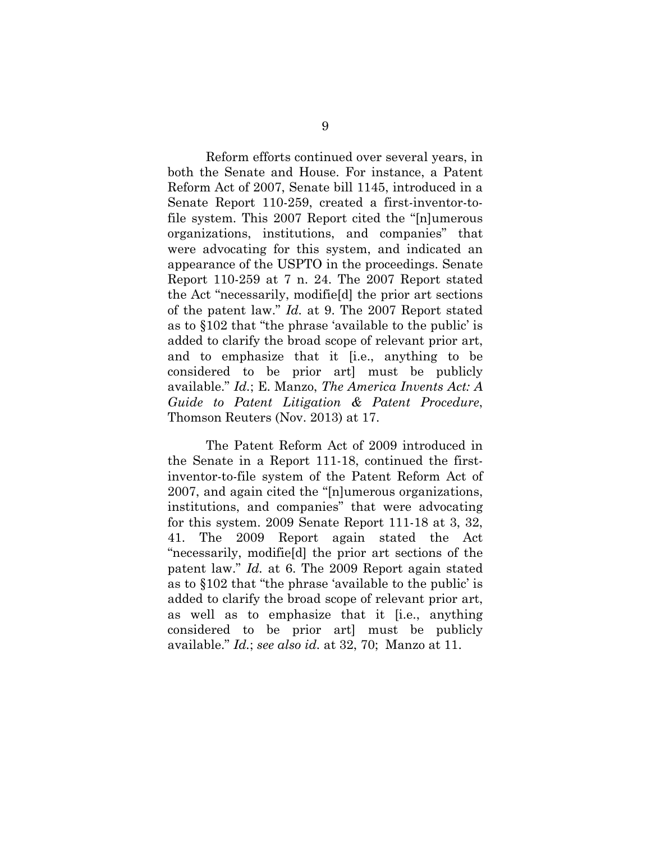Reform efforts continued over several years, in both the Senate and House. For instance, a Patent Reform Act of 2007, Senate bill 1145, introduced in a Senate Report 110-259, created a first-inventor-tofile system. This 2007 Report cited the "[n]umerous organizations, institutions, and companies" that were advocating for this system, and indicated an appearance of the USPTO in the proceedings. Senate Report 110-259 at 7 n. 24. The 2007 Report stated the Act "necessarily, modifie[d] the prior art sections of the patent law." *Id.* at 9. The 2007 Report stated as to §102 that "the phrase 'available to the public' is added to clarify the broad scope of relevant prior art, and to emphasize that it [i.e., anything to be considered to be prior art] must be publicly available." *Id.*; E. Manzo, *The America Invents Act: A Guide to Patent Litigation & Patent Procedure*, Thomson Reuters (Nov. 2013) at 17.

The Patent Reform Act of 2009 introduced in the Senate in a Report 111-18, continued the firstinventor-to-file system of the Patent Reform Act of 2007, and again cited the "[n]umerous organizations, institutions, and companies" that were advocating for this system. 2009 Senate Report 111-18 at 3, 32, 41. The 2009 Report again stated the Act "necessarily, modifie[d] the prior art sections of the patent law." *Id.* at 6. The 2009 Report again stated as to §102 that "the phrase 'available to the public' is added to clarify the broad scope of relevant prior art, as well as to emphasize that it [i.e., anything considered to be prior art] must be publicly available." *Id.*; *see also id.* at 32, 70; Manzo at 11.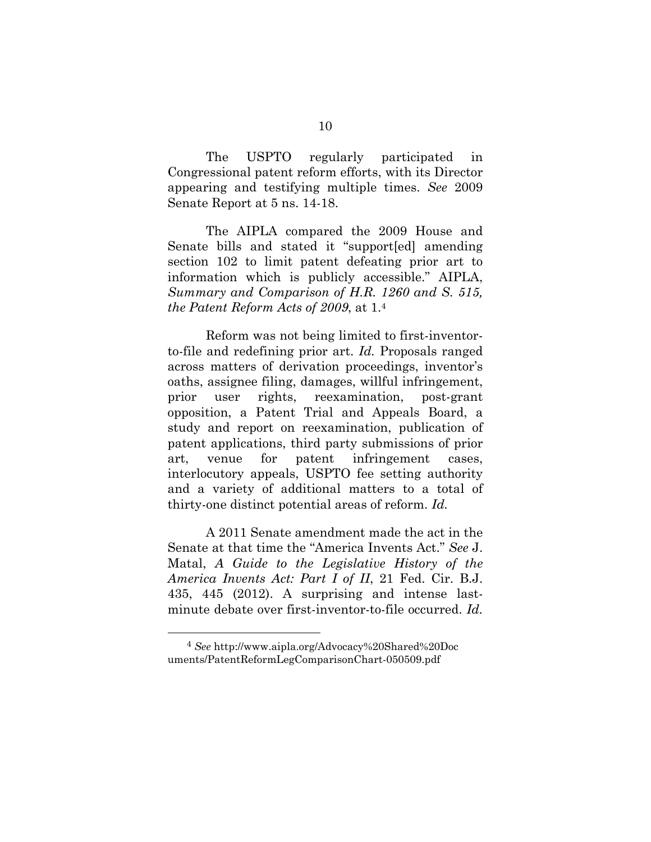The USPTO regularly participated in Congressional patent reform efforts, with its Director appearing and testifying multiple times. *See* 2009 Senate Report at 5 ns. 14-18.

The AIPLA compared the 2009 House and Senate bills and stated it "support[ed] amending section 102 to limit patent defeating prior art to information which is publicly accessible." AIPLA, *Summary and Comparison of H.R. 1260 and S. 515, the Patent Reform Acts of 2009*, at 1.4

Reform was not being limited to first-inventorto-file and redefining prior art. *Id.* Proposals ranged across matters of derivation proceedings, inventor's oaths, assignee filing, damages, willful infringement, prior user rights, reexamination, post-grant opposition, a Patent Trial and Appeals Board, a study and report on reexamination, publication of patent applications, third party submissions of prior art, venue for patent infringement cases, interlocutory appeals, USPTO fee setting authority and a variety of additional matters to a total of thirty-one distinct potential areas of reform. *Id.*

A 2011 Senate amendment made the act in the Senate at that time the "America Invents Act." *See* J. Matal, *A Guide to the Legislative History of the America Invents Act: Part I of II*, 21 Fed. Cir. B.J. 435, 445 (2012). A surprising and intense lastminute debate over first-inventor-to-file occurred. *Id.*

 <sup>4</sup> *See* http://www.aipla.org/Advocacy%20Shared%20Doc uments/PatentReformLegComparisonChart-050509.pdf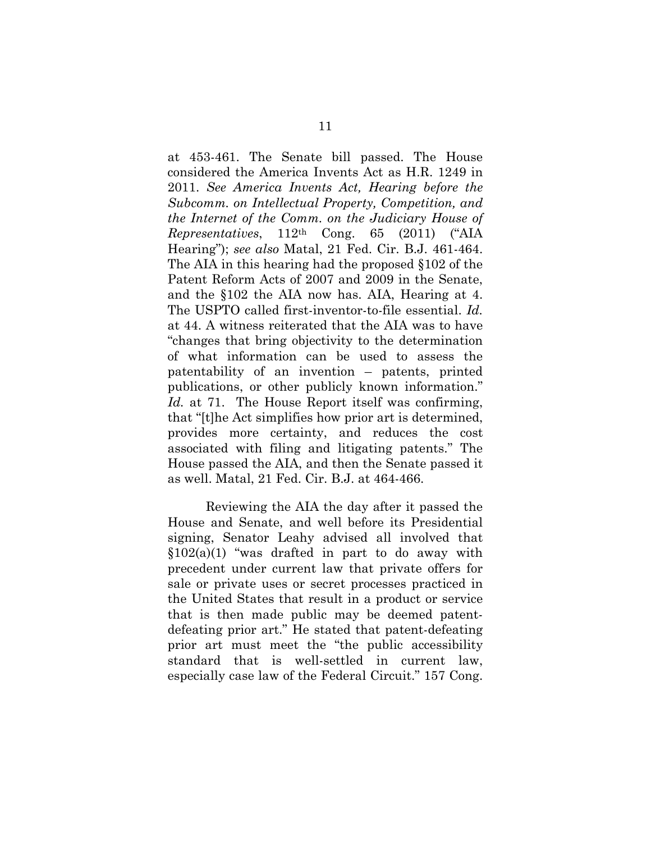at 453-461. The Senate bill passed. The House considered the America Invents Act as H.R. 1249 in 2011. *See America Invents Act, Hearing before the Subcomm. on Intellectual Property, Competition, and the Internet of the Comm. on the Judiciary House of Representatives*, 112th Cong. 65 (2011) ("AIA Hearing"); *see also* Matal, 21 Fed. Cir. B.J. 461-464. The AIA in this hearing had the proposed §102 of the Patent Reform Acts of 2007 and 2009 in the Senate, and the §102 the AIA now has. AIA, Hearing at 4. The USPTO called first-inventor-to-file essential. *Id.* at 44. A witness reiterated that the AIA was to have "changes that bring objectivity to the determination of what information can be used to assess the patentability of an invention – patents, printed publications, or other publicly known information." *Id.* at 71. The House Report itself was confirming, that "[t]he Act simplifies how prior art is determined, provides more certainty, and reduces the cost associated with filing and litigating patents." The House passed the AIA, and then the Senate passed it as well. Matal, 21 Fed. Cir. B.J. at 464-466.

Reviewing the AIA the day after it passed the House and Senate, and well before its Presidential signing, Senator Leahy advised all involved that  $$102(a)(1)$  "was drafted in part to do away with precedent under current law that private offers for sale or private uses or secret processes practiced in the United States that result in a product or service that is then made public may be deemed patentdefeating prior art." He stated that patent-defeating prior art must meet the "the public accessibility standard that is well-settled in current law, especially case law of the Federal Circuit." 157 Cong.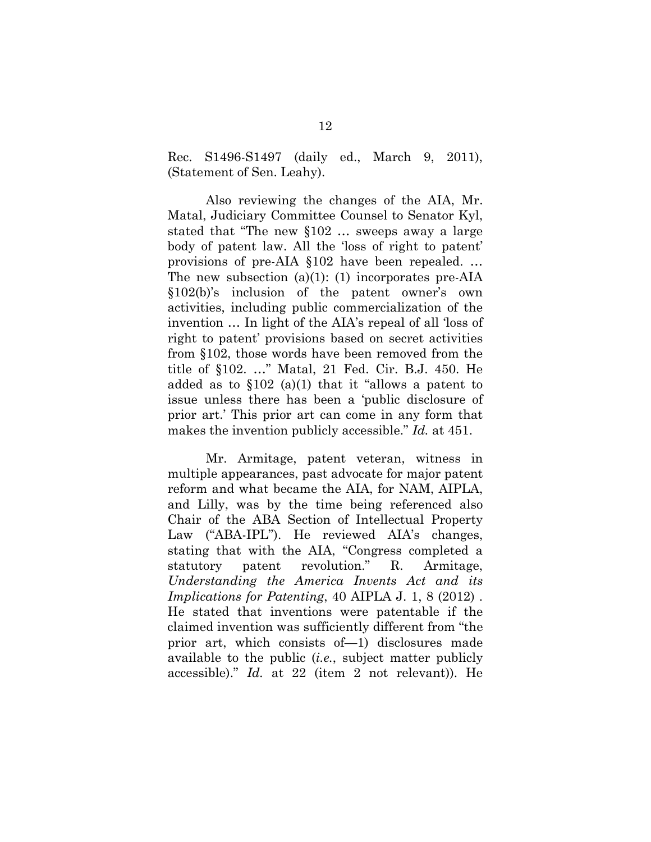Rec. S1496-S1497 (daily ed., March 9, 2011), (Statement of Sen. Leahy).

Also reviewing the changes of the AIA, Mr. Matal, Judiciary Committee Counsel to Senator Kyl, stated that "The new §102 … sweeps away a large body of patent law. All the 'loss of right to patent' provisions of pre-AIA §102 have been repealed. … The new subsection (a)(1): (1) incorporates pre-AIA §102(b)'s inclusion of the patent owner's own activities, including public commercialization of the invention … In light of the AIA's repeal of all 'loss of right to patent' provisions based on secret activities from §102, those words have been removed from the title of §102. …" Matal, 21 Fed. Cir. B.J. 450. He added as to  $$102$  (a)(1) that it "allows a patent to issue unless there has been a 'public disclosure of prior art.' This prior art can come in any form that makes the invention publicly accessible." *Id.* at 451.

Mr. Armitage, patent veteran, witness in multiple appearances, past advocate for major patent reform and what became the AIA, for NAM, AIPLA, and Lilly, was by the time being referenced also Chair of the ABA Section of Intellectual Property Law ("ABA-IPL"). He reviewed AIA's changes, stating that with the AIA, "Congress completed a statutory patent revolution." R. Armitage, *Understanding the America Invents Act and its Implications for Patenting*, 40 AIPLA J. 1, 8 (2012) . He stated that inventions were patentable if the claimed invention was sufficiently different from "the prior art, which consists of—1) disclosures made available to the public (*i.e.*, subject matter publicly accessible)." *Id.* at 22 (item 2 not relevant)). He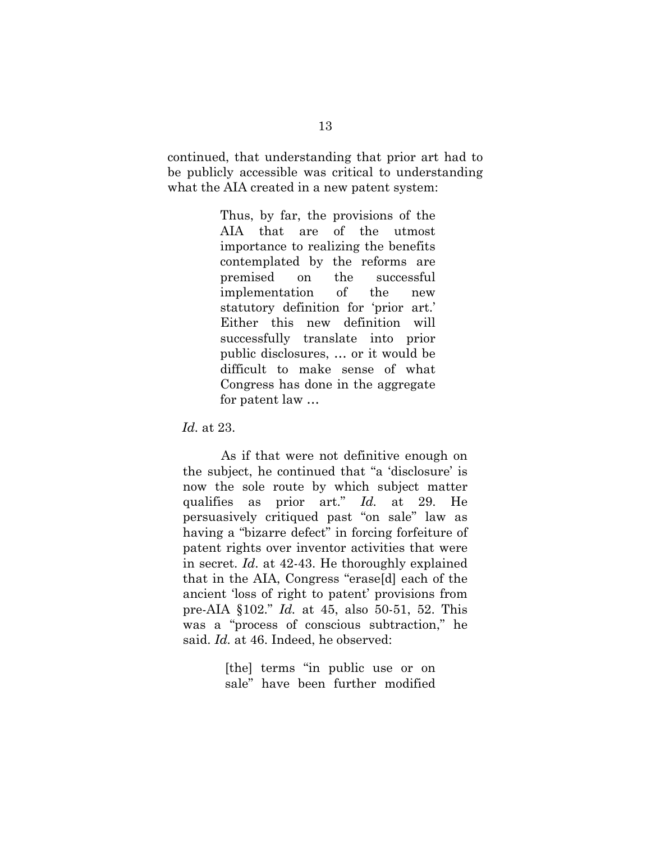continued, that understanding that prior art had to be publicly accessible was critical to understanding what the AIA created in a new patent system:

> Thus, by far, the provisions of the AIA that are of the utmost importance to realizing the benefits contemplated by the reforms are premised on the successful implementation of the new statutory definition for 'prior art.' Either this new definition will successfully translate into prior public disclosures, … or it would be difficult to make sense of what Congress has done in the aggregate for patent law …

*Id.* at 23.

As if that were not definitive enough on the subject, he continued that "a 'disclosure' is now the sole route by which subject matter qualifies as prior art." *Id.* at 29. He persuasively critiqued past "on sale" law as having a "bizarre defect" in forcing forfeiture of patent rights over inventor activities that were in secret. *Id*. at 42-43. He thoroughly explained that in the AIA, Congress "erase[d] each of the ancient 'loss of right to patent' provisions from pre-AIA §102." *Id.* at 45, also 50-51, 52. This was a "process of conscious subtraction," he said. *Id.* at 46. Indeed, he observed:

> [the] terms "in public use or on sale" have been further modified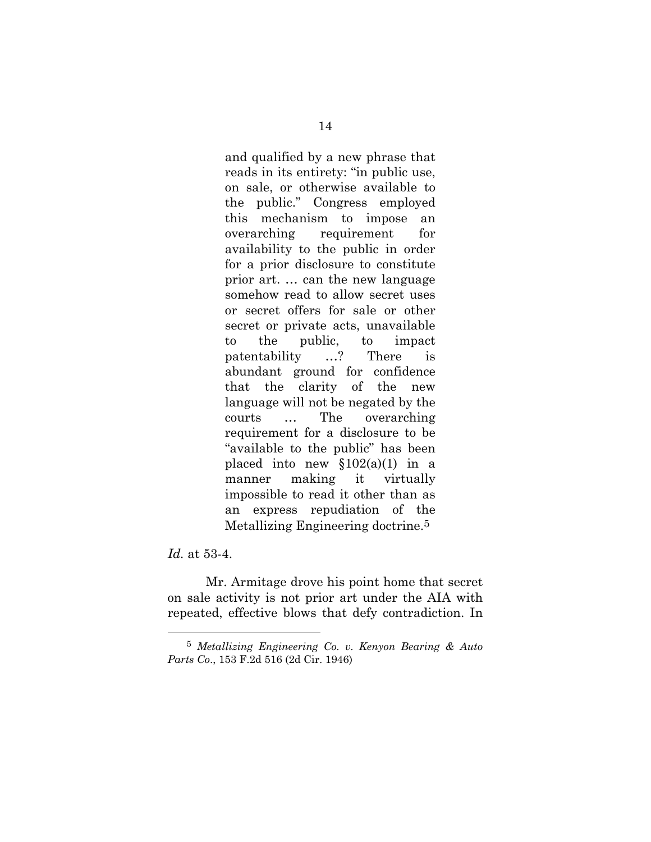and qualified by a new phrase that reads in its entirety: "in public use, on sale, or otherwise available to the public." Congress employed this mechanism to impose an overarching requirement for availability to the public in order for a prior disclosure to constitute prior art. … can the new language somehow read to allow secret uses or secret offers for sale or other secret or private acts, unavailable to the public, to impact patentability …? There is abundant ground for confidence that the clarity of the new language will not be negated by the courts … The overarching requirement for a disclosure to be "available to the public" has been placed into new  $$102(a)(1)$  in a manner making it virtually impossible to read it other than as an express repudiation of the Metallizing Engineering doctrine.5

*Id.* at 53-4.

 Mr. Armitage drove his point home that secret on sale activity is not prior art under the AIA with repeated, effective blows that defy contradiction. In

 <sup>5</sup> *Metallizing Engineering Co. v. Kenyon Bearing & Auto Parts Co*., 153 F.2d 516 (2d Cir. 1946)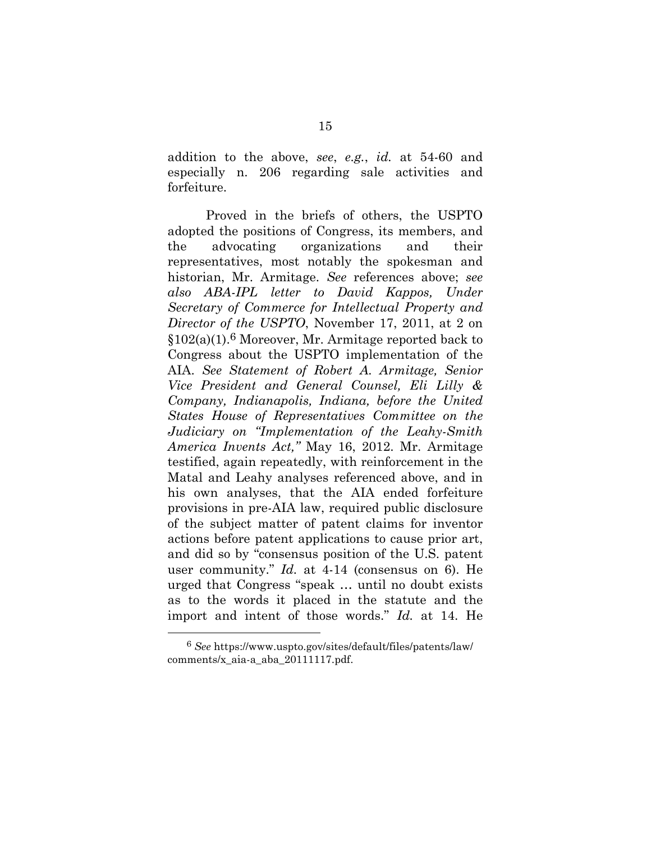addition to the above, *see*, *e.g.*, *id.* at 54-60 and especially n. 206 regarding sale activities and forfeiture.

Proved in the briefs of others, the USPTO adopted the positions of Congress, its members, and the advocating organizations and their representatives, most notably the spokesman and historian, Mr. Armitage. *See* references above; *see also ABA-IPL letter to David Kappos, Under Secretary of Commerce for Intellectual Property and Director of the USPTO*, November 17, 2011, at 2 on §102(a)(1).6 Moreover, Mr. Armitage reported back to Congress about the USPTO implementation of the AIA. *See Statement of Robert A. Armitage, Senior Vice President and General Counsel, Eli Lilly & Company, Indianapolis, Indiana, before the United States House of Representatives Committee on the Judiciary on "Implementation of the Leahy-Smith America Invents Act,"* May 16, 2012. Mr. Armitage testified, again repeatedly, with reinforcement in the Matal and Leahy analyses referenced above, and in his own analyses, that the AIA ended forfeiture provisions in pre-AIA law, required public disclosure of the subject matter of patent claims for inventor actions before patent applications to cause prior art, and did so by "consensus position of the U.S. patent user community." *Id.* at 4-14 (consensus on 6). He urged that Congress "speak … until no doubt exists as to the words it placed in the statute and the import and intent of those words." *Id.* at 14. He

 <sup>6</sup> *See* https://www.uspto.gov/sites/default/files/patents/law/ comments/x\_aia-a\_aba\_20111117.pdf.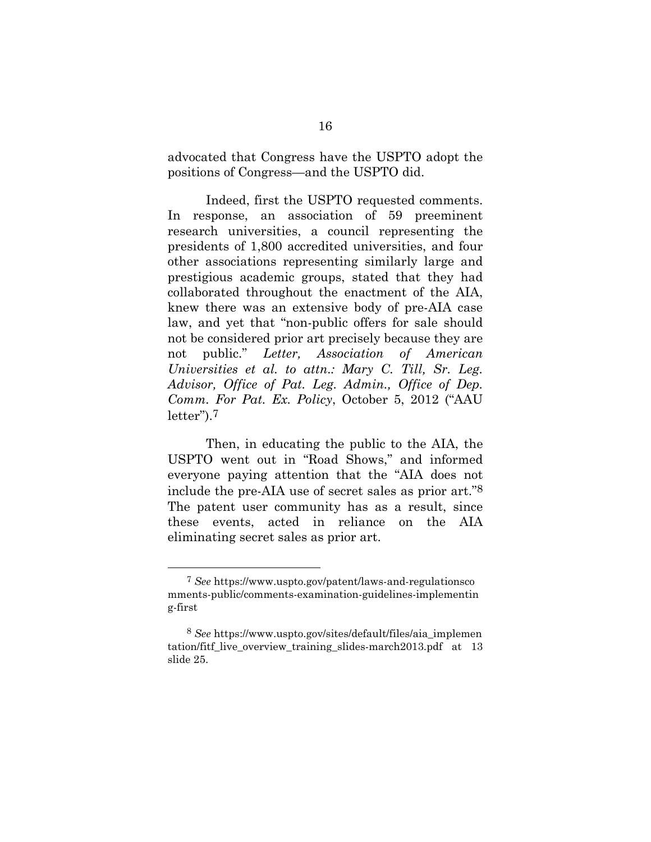advocated that Congress have the USPTO adopt the positions of Congress—and the USPTO did.

Indeed, first the USPTO requested comments. In response, an association of 59 preeminent research universities, a council representing the presidents of 1,800 accredited universities, and four other associations representing similarly large and prestigious academic groups, stated that they had collaborated throughout the enactment of the AIA, knew there was an extensive body of pre-AIA case law, and yet that "non-public offers for sale should not be considered prior art precisely because they are not public." *Letter, Association of American Universities et al. to attn.: Mary C. Till, Sr. Leg. Advisor, Office of Pat. Leg. Admin., Office of Dep. Comm. For Pat. Ex. Policy*, October 5, 2012 ("AAU letter").7

Then, in educating the public to the AIA, the USPTO went out in "Road Shows," and informed everyone paying attention that the "AIA does not include the pre-AIA use of secret sales as prior art."8 The patent user community has as a result, since these events, acted in reliance on the AIA eliminating secret sales as prior art.

 <sup>7</sup> *See* https://www.uspto.gov/patent/laws-and-regulationsco mments-public/comments-examination-guidelines-implementin g-first

<sup>8</sup> *See* https://www.uspto.gov/sites/default/files/aia\_implemen tation/fitf\_live\_overview\_training\_slides-march2013.pdf at 13 slide 25.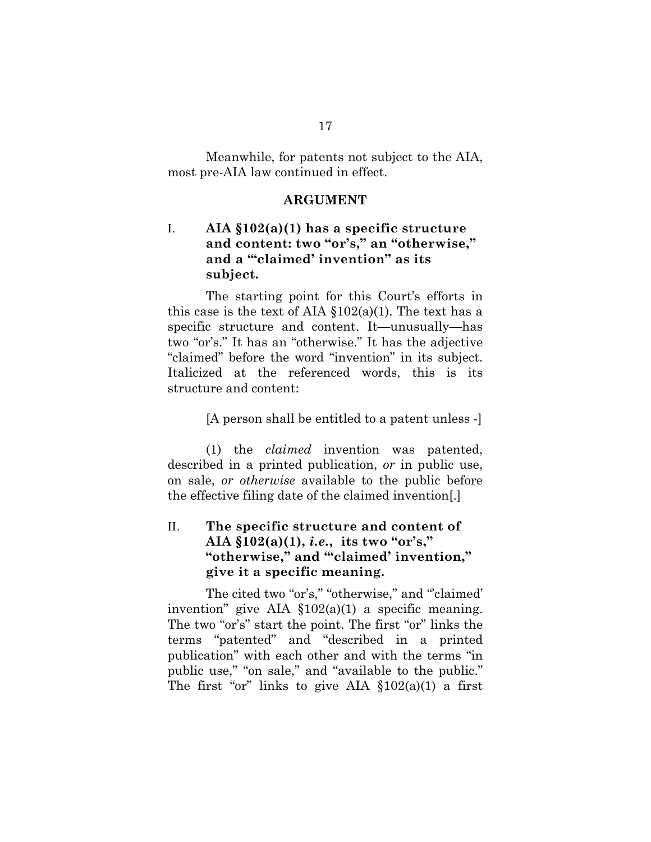Meanwhile, for patents not subject to the AIA, most pre-AIA law continued in effect.

#### **ARGUMENT**

## I. **AIA §102(a)(1) has a specific structure and content: two "or's," an "otherwise," and a '"claimed' invention" as its subject.**

The starting point for this Court's efforts in this case is the text of AIA  $$102(a)(1)$ . The text has a specific structure and content. It—unusually—has two "or's." It has an "otherwise." It has the adjective "claimed" before the word "invention" in its subject. Italicized at the referenced words, this is its structure and content:

[A person shall be entitled to a patent unless -]

(1) the *claimed* invention was patented, described in a printed publication, *or* in public use, on sale, *or otherwise* available to the public before the effective filing date of the claimed invention[.]

## II. **The specific structure and content of AIA §102(a)(1),** *i.e.***, its two "or's," "otherwise," and '"claimed' invention," give it a specific meaning.**

The cited two "or's," "otherwise," and "claimed" invention" give AIA  $$102(a)(1)$  a specific meaning. The two "or's" start the point. The first "or" links the terms "patented" and "described in a printed publication" with each other and with the terms "in public use," "on sale," and "available to the public." The first "or" links to give AIA  $\S 102(a)(1)$  a first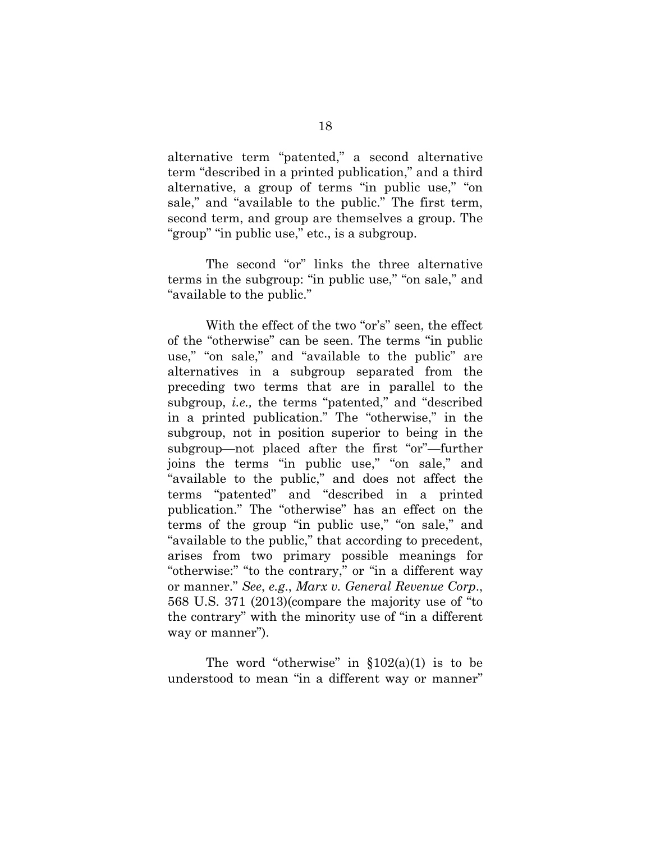alternative term "patented," a second alternative term "described in a printed publication," and a third alternative, a group of terms "in public use," "on sale," and "available to the public." The first term, second term, and group are themselves a group. The "group" "in public use," etc., is a subgroup.

The second "or" links the three alternative terms in the subgroup: "in public use," "on sale," and "available to the public."

With the effect of the two "or's" seen, the effect of the "otherwise" can be seen. The terms "in public use," "on sale," and "available to the public" are alternatives in a subgroup separated from the preceding two terms that are in parallel to the subgroup, *i.e.,* the terms "patented," and "described in a printed publication." The "otherwise," in the subgroup, not in position superior to being in the subgroup—not placed after the first "or"—further joins the terms "in public use," "on sale," and "available to the public," and does not affect the terms "patented" and "described in a printed publication." The "otherwise" has an effect on the terms of the group "in public use," "on sale," and "available to the public," that according to precedent, arises from two primary possible meanings for "otherwise:" "to the contrary," or "in a different way or manner." *See*, *e.g*., *Marx v. General Revenue Corp*., 568 U.S. 371 (2013)(compare the majority use of "to the contrary" with the minority use of "in a different way or manner").

The word "otherwise" in  $$102(a)(1)$  is to be understood to mean "in a different way or manner"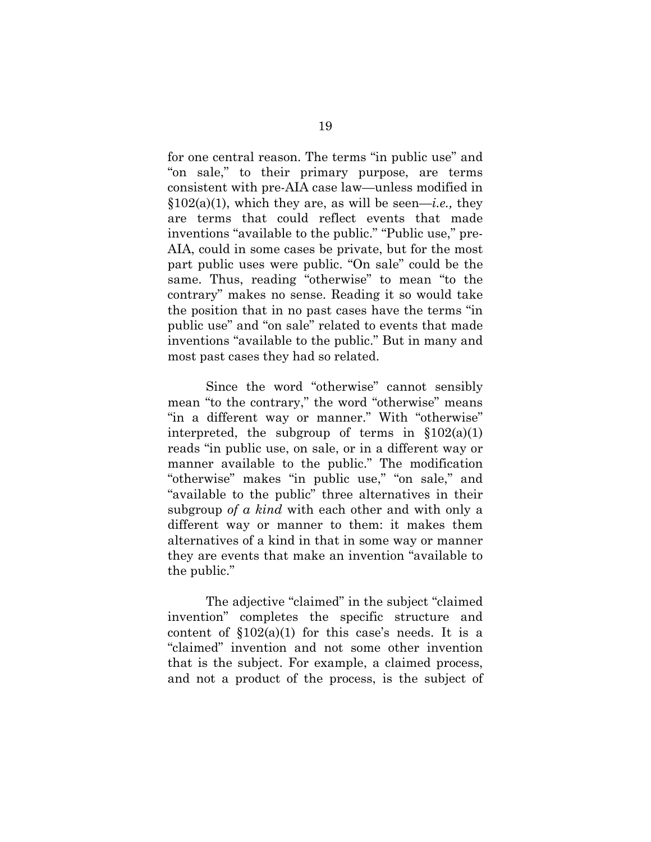for one central reason. The terms "in public use" and "on sale," to their primary purpose, are terms consistent with pre-AIA case law—unless modified in  $§102(a)(1)$ , which they are, as will be seen—*i.e.*, they are terms that could reflect events that made inventions "available to the public." "Public use," pre-AIA, could in some cases be private, but for the most part public uses were public. "On sale" could be the same. Thus, reading "otherwise" to mean "to the contrary" makes no sense. Reading it so would take the position that in no past cases have the terms "in public use" and "on sale" related to events that made inventions "available to the public." But in many and most past cases they had so related.

Since the word "otherwise" cannot sensibly mean "to the contrary," the word "otherwise" means "in a different way or manner." With "otherwise" interpreted, the subgroup of terms in  $$102(a)(1)$ reads "in public use, on sale, or in a different way or manner available to the public." The modification "otherwise" makes "in public use," "on sale," and "available to the public" three alternatives in their subgroup *of a kind* with each other and with only a different way or manner to them: it makes them alternatives of a kind in that in some way or manner they are events that make an invention "available to the public."

The adjective "claimed" in the subject "claimed invention" completes the specific structure and content of  $$102(a)(1)$  for this case's needs. It is a "claimed" invention and not some other invention that is the subject. For example, a claimed process, and not a product of the process, is the subject of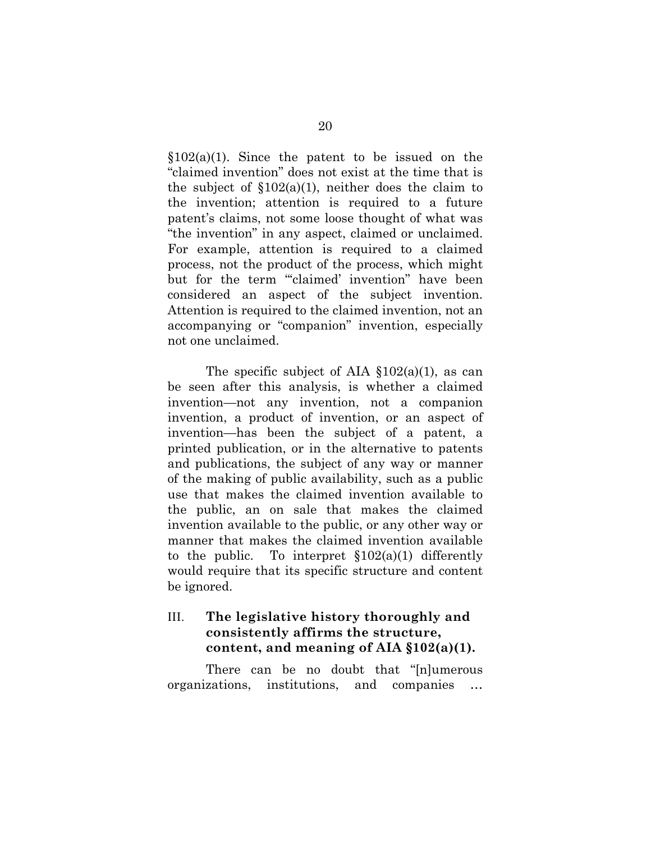$$102(a)(1)$ . Since the patent to be issued on the "claimed invention" does not exist at the time that is the subject of  $$102(a)(1)$ , neither does the claim to the invention; attention is required to a future patent's claims, not some loose thought of what was "the invention" in any aspect, claimed or unclaimed. For example, attention is required to a claimed process, not the product of the process, which might but for the term "'claimed' invention" have been considered an aspect of the subject invention. Attention is required to the claimed invention, not an accompanying or "companion" invention, especially not one unclaimed.

The specific subject of AIA  $\S 102(a)(1)$ , as can be seen after this analysis, is whether a claimed invention—not any invention, not a companion invention, a product of invention, or an aspect of invention—has been the subject of a patent, a printed publication, or in the alternative to patents and publications, the subject of any way or manner of the making of public availability, such as a public use that makes the claimed invention available to the public, an on sale that makes the claimed invention available to the public, or any other way or manner that makes the claimed invention available to the public. To interpret  $\S 102(a)(1)$  differently would require that its specific structure and content be ignored.

## III. **The legislative history thoroughly and consistently affirms the structure, content, and meaning of AIA §102(a)(1).**

There can be no doubt that "[n]umerous organizations, institutions, and companies …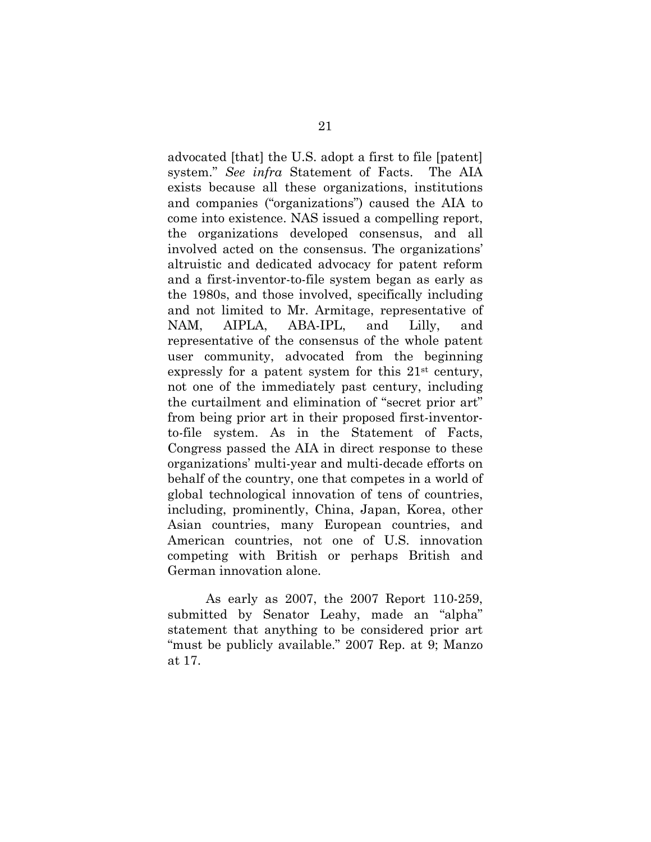advocated [that] the U.S. adopt a first to file [patent] system." *See infra* Statement of Facts. The AIA exists because all these organizations, institutions and companies ("organizations") caused the AIA to come into existence. NAS issued a compelling report, the organizations developed consensus, and all involved acted on the consensus. The organizations' altruistic and dedicated advocacy for patent reform and a first-inventor-to-file system began as early as the 1980s, and those involved, specifically including and not limited to Mr. Armitage, representative of NAM, AIPLA, ABA-IPL, and Lilly, and representative of the consensus of the whole patent user community, advocated from the beginning expressly for a patent system for this 21st century, not one of the immediately past century, including the curtailment and elimination of "secret prior art" from being prior art in their proposed first-inventorto-file system. As in the Statement of Facts, Congress passed the AIA in direct response to these organizations' multi-year and multi-decade efforts on behalf of the country, one that competes in a world of global technological innovation of tens of countries, including, prominently, China, Japan, Korea, other Asian countries, many European countries, and American countries, not one of U.S. innovation competing with British or perhaps British and German innovation alone.

As early as 2007, the 2007 Report 110-259, submitted by Senator Leahy, made an "alpha" statement that anything to be considered prior art "must be publicly available." 2007 Rep. at 9; Manzo at 17.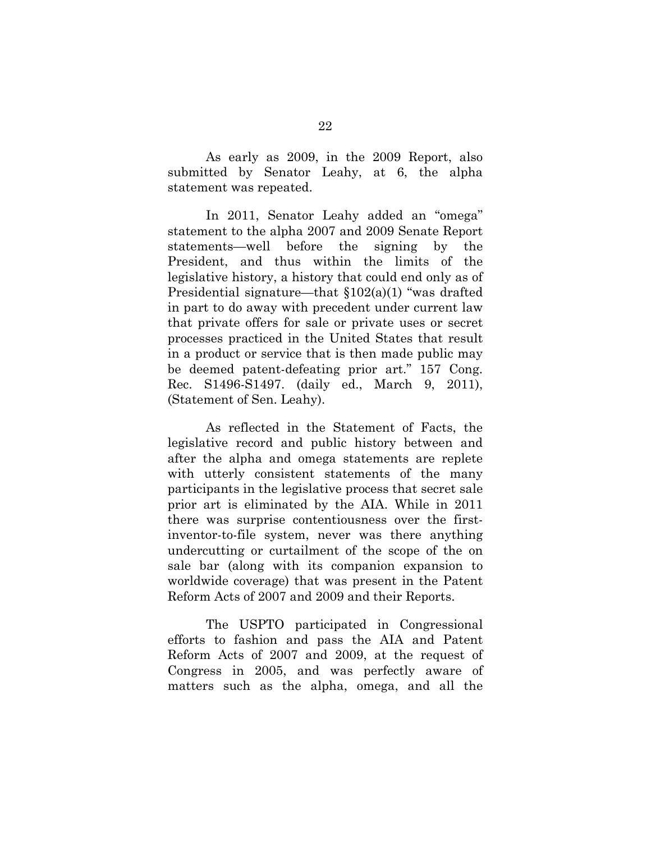As early as 2009, in the 2009 Report, also submitted by Senator Leahy, at 6, the alpha statement was repeated.

In 2011, Senator Leahy added an "omega" statement to the alpha 2007 and 2009 Senate Report statements—well before the signing by the President, and thus within the limits of the legislative history, a history that could end only as of Presidential signature—that §102(a)(1) "was drafted in part to do away with precedent under current law that private offers for sale or private uses or secret processes practiced in the United States that result in a product or service that is then made public may be deemed patent-defeating prior art." 157 Cong. Rec. S1496-S1497. (daily ed., March 9, 2011), (Statement of Sen. Leahy).

As reflected in the Statement of Facts, the legislative record and public history between and after the alpha and omega statements are replete with utterly consistent statements of the many participants in the legislative process that secret sale prior art is eliminated by the AIA. While in 2011 there was surprise contentiousness over the firstinventor-to-file system, never was there anything undercutting or curtailment of the scope of the on sale bar (along with its companion expansion to worldwide coverage) that was present in the Patent Reform Acts of 2007 and 2009 and their Reports.

The USPTO participated in Congressional efforts to fashion and pass the AIA and Patent Reform Acts of 2007 and 2009, at the request of Congress in 2005, and was perfectly aware of matters such as the alpha, omega, and all the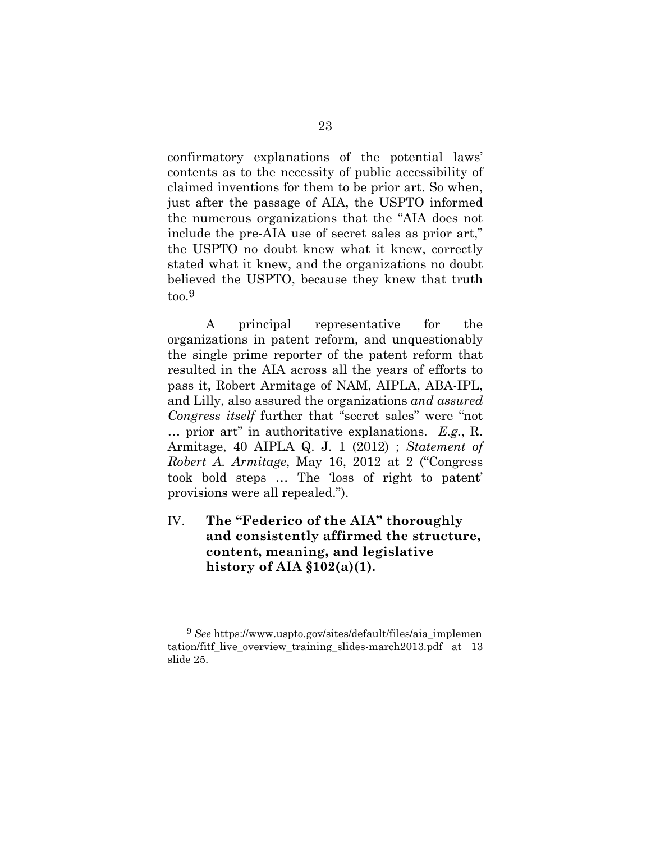confirmatory explanations of the potential laws' contents as to the necessity of public accessibility of claimed inventions for them to be prior art. So when, just after the passage of AIA, the USPTO informed the numerous organizations that the "AIA does not include the pre-AIA use of secret sales as prior art," the USPTO no doubt knew what it knew, correctly stated what it knew, and the organizations no doubt believed the USPTO, because they knew that truth too.9

A principal representative for the organizations in patent reform, and unquestionably the single prime reporter of the patent reform that resulted in the AIA across all the years of efforts to pass it, Robert Armitage of NAM, AIPLA, ABA-IPL, and Lilly, also assured the organizations *and assured Congress itself* further that "secret sales" were "not … prior art" in authoritative explanations. *E.g.*, R. Armitage, 40 AIPLA Q. J. 1 (2012) ; *Statement of Robert A. Armitage*, May 16, 2012 at 2 ("Congress took bold steps … The 'loss of right to patent' provisions were all repealed.").

IV. **The "Federico of the AIA" thoroughly and consistently affirmed the structure, content, meaning, and legislative history of AIA §102(a)(1).** 

 <sup>9</sup> *See* https://www.uspto.gov/sites/default/files/aia\_implemen tation/fitf\_live\_overview\_training\_slides-march2013.pdf at 13 slide 25.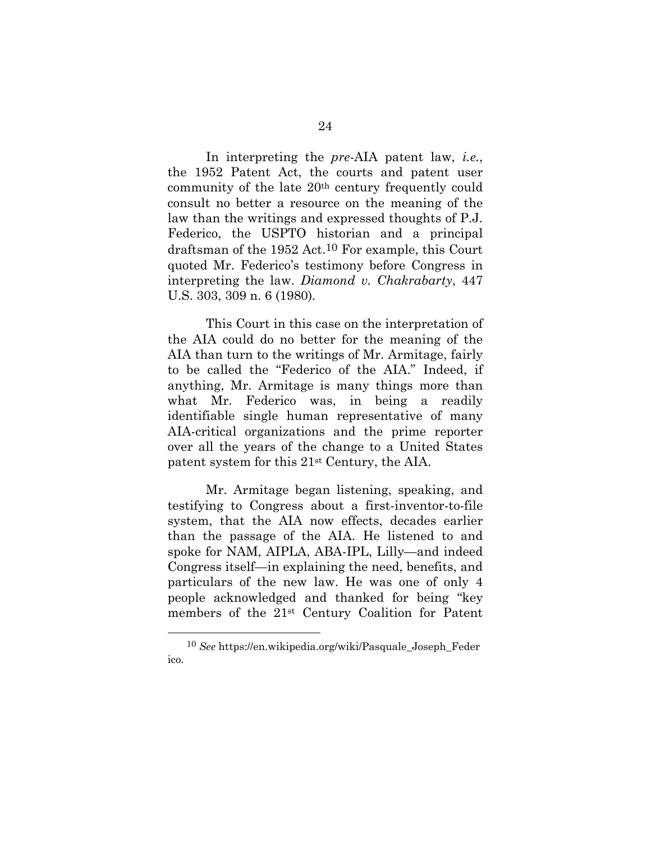In interpreting the *pre*-AIA patent law, *i.e.*, the 1952 Patent Act, the courts and patent user community of the late 20th century frequently could consult no better a resource on the meaning of the law than the writings and expressed thoughts of P.J. Federico, the USPTO historian and a principal draftsman of the 1952 Act.10 For example, this Court quoted Mr. Federico's testimony before Congress in interpreting the law. *Diamond v. Chakrabarty*, 447 U.S. 303, 309 n. 6 (1980)*.* 

This Court in this case on the interpretation of the AIA could do no better for the meaning of the AIA than turn to the writings of Mr. Armitage, fairly to be called the "Federico of the AIA." Indeed, if anything, Mr. Armitage is many things more than what Mr. Federico was, in being a readily identifiable single human representative of many AIA-critical organizations and the prime reporter over all the years of the change to a United States patent system for this 21st Century, the AIA.

Mr. Armitage began listening, speaking, and testifying to Congress about a first-inventor-to-file system, that the AIA now effects, decades earlier than the passage of the AIA. He listened to and spoke for NAM, AIPLA, ABA-IPL, Lilly—and indeed Congress itself—in explaining the need, benefits, and particulars of the new law. He was one of only 4 people acknowledged and thanked for being "key members of the 21st Century Coalition for Patent

 <sup>10</sup> *See* https://en.wikipedia.org/wiki/Pasquale\_Joseph\_Feder ico.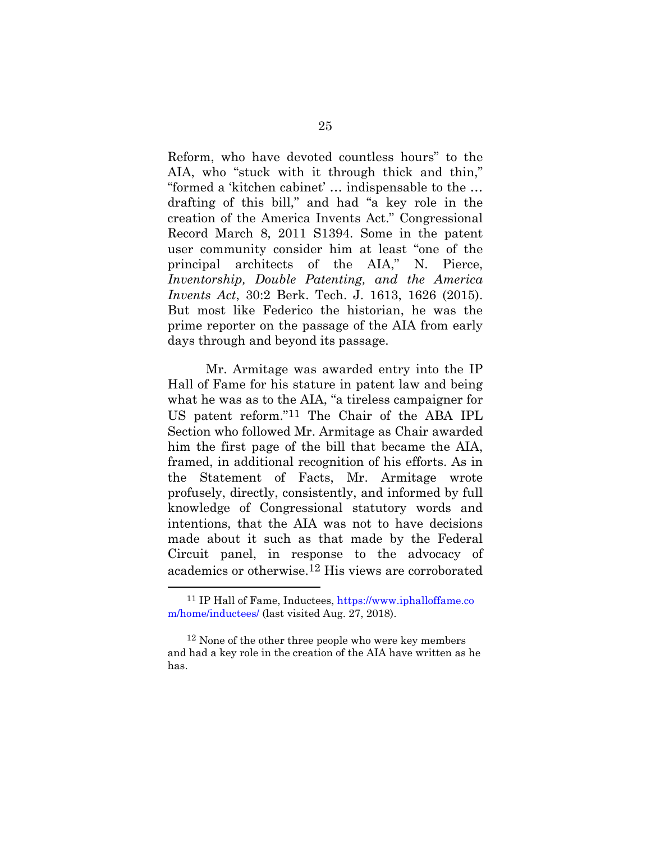Reform, who have devoted countless hours" to the AIA, who "stuck with it through thick and thin," "formed a 'kitchen cabinet' … indispensable to the … drafting of this bill," and had "a key role in the creation of the America Invents Act." Congressional Record March 8, 2011 S1394. Some in the patent user community consider him at least "one of the principal architects of the AIA," N. Pierce, *Inventorship, Double Patenting, and the America Invents Act*, 30:2 Berk. Tech. J. 1613, 1626 (2015). But most like Federico the historian, he was the prime reporter on the passage of the AIA from early days through and beyond its passage.

Mr. Armitage was awarded entry into the IP Hall of Fame for his stature in patent law and being what he was as to the AIA, "a tireless campaigner for US patent reform."11 The Chair of the ABA IPL Section who followed Mr. Armitage as Chair awarded him the first page of the bill that became the AIA, framed, in additional recognition of his efforts. As in the Statement of Facts, Mr. Armitage wrote profusely, directly, consistently, and informed by full knowledge of Congressional statutory words and intentions, that the AIA was not to have decisions made about it such as that made by the Federal Circuit panel, in response to the advocacy of academics or otherwise.12 His views are corroborated

 <sup>11</sup> IP Hall of Fame, Inductees, https://www.iphalloffame.co m/home/inductees/ (last visited Aug. 27, 2018).

<sup>&</sup>lt;sup>12</sup> None of the other three people who were key members and had a key role in the creation of the AIA have written as he has.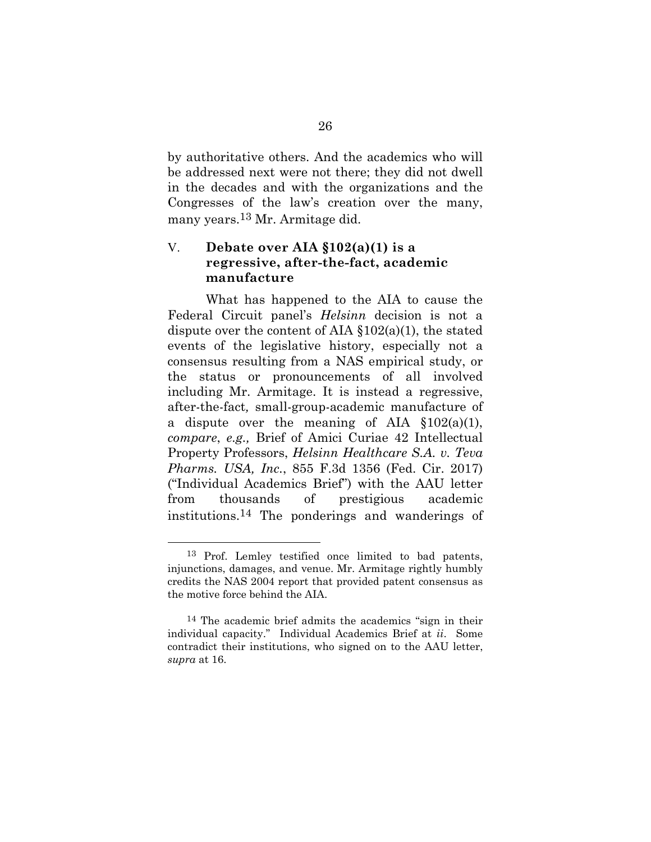by authoritative others. And the academics who will be addressed next were not there; they did not dwell in the decades and with the organizations and the Congresses of the law's creation over the many, many years.13 Mr. Armitage did.

### V. **Debate over AIA §102(a)(1) is a regressive, after-the-fact, academic manufacture**

What has happened to the AIA to cause the Federal Circuit panel's *Helsinn* decision is not a dispute over the content of AIA  $$102(a)(1)$ , the stated events of the legislative history, especially not a consensus resulting from a NAS empirical study, or the status or pronouncements of all involved including Mr. Armitage. It is instead a regressive, after-the-fact*,* small-group-academic manufacture of a dispute over the meaning of AIA  $$102(a)(1)$ , *compare*, *e.g.,* Brief of Amici Curiae 42 Intellectual Property Professors, *Helsinn Healthcare S.A. v. Teva Pharms. USA, Inc.*, 855 F.3d 1356 (Fed. Cir. 2017) ("Individual Academics Brief") with the AAU letter from thousands of prestigious academic institutions.14 The ponderings and wanderings of

 <sup>13</sup> Prof. Lemley testified once limited to bad patents, injunctions, damages, and venue. Mr. Armitage rightly humbly credits the NAS 2004 report that provided patent consensus as the motive force behind the AIA.

<sup>14</sup> The academic brief admits the academics "sign in their individual capacity." Individual Academics Brief at *ii*. Some contradict their institutions, who signed on to the AAU letter, *supra* at 16.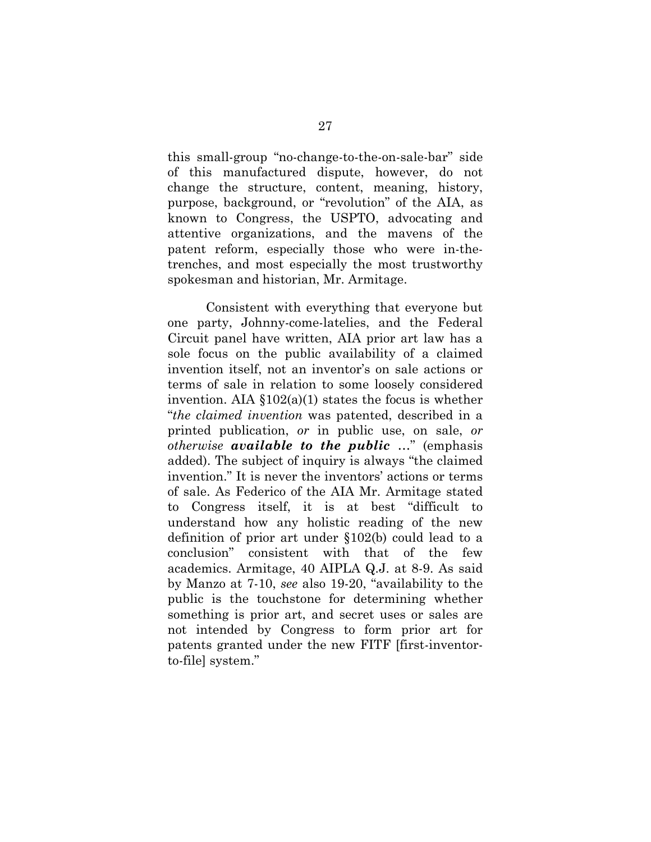this small-group "no-change-to-the-on-sale-bar" side of this manufactured dispute, however, do not change the structure, content, meaning, history, purpose, background, or "revolution" of the AIA, as known to Congress, the USPTO, advocating and attentive organizations, and the mavens of the patent reform, especially those who were in-thetrenches, and most especially the most trustworthy spokesman and historian, Mr. Armitage.

Consistent with everything that everyone but one party, Johnny-come-latelies, and the Federal Circuit panel have written, AIA prior art law has a sole focus on the public availability of a claimed invention itself, not an inventor's on sale actions or terms of sale in relation to some loosely considered invention. AIA  $$102(a)(1)$  states the focus is whether "*the claimed invention* was patented, described in a printed publication, *or* in public use, on sale, *or otherwise available to the public* …" (emphasis added). The subject of inquiry is always "the claimed invention." It is never the inventors' actions or terms of sale. As Federico of the AIA Mr. Armitage stated to Congress itself, it is at best "difficult to understand how any holistic reading of the new definition of prior art under §102(b) could lead to a conclusion" consistent with that of the few academics. Armitage, 40 AIPLA Q.J. at 8-9. As said by Manzo at 7-10, *see* also 19-20, "availability to the public is the touchstone for determining whether something is prior art, and secret uses or sales are not intended by Congress to form prior art for patents granted under the new FITF [first-inventorto-file] system."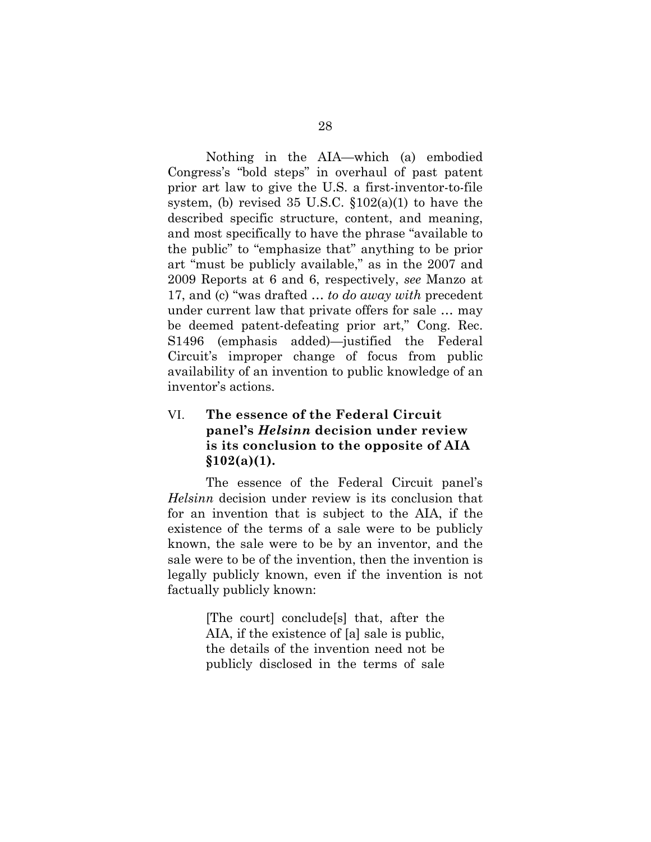Nothing in the AIA—which (a) embodied Congress's "bold steps" in overhaul of past patent prior art law to give the U.S. a first-inventor-to-file system, (b) revised  $35 \text{ U.S.C. } \S 102(a)(1)$  to have the described specific structure, content, and meaning, and most specifically to have the phrase "available to the public" to "emphasize that" anything to be prior art "must be publicly available," as in the 2007 and 2009 Reports at 6 and 6, respectively, *see* Manzo at 17, and (c) "was drafted … *to do away with* precedent under current law that private offers for sale … may be deemed patent-defeating prior art," Cong. Rec. S1496 (emphasis added)—justified the Federal Circuit's improper change of focus from public availability of an invention to public knowledge of an inventor's actions.

## VI. **The essence of the Federal Circuit panel's** *Helsinn* **decision under review is its conclusion to the opposite of AIA §102(a)(1).**

The essence of the Federal Circuit panel's *Helsinn* decision under review is its conclusion that for an invention that is subject to the AIA, if the existence of the terms of a sale were to be publicly known, the sale were to be by an inventor, and the sale were to be of the invention, then the invention is legally publicly known, even if the invention is not factually publicly known:

> [The court] conclude[s] that, after the AIA, if the existence of [a] sale is public, the details of the invention need not be publicly disclosed in the terms of sale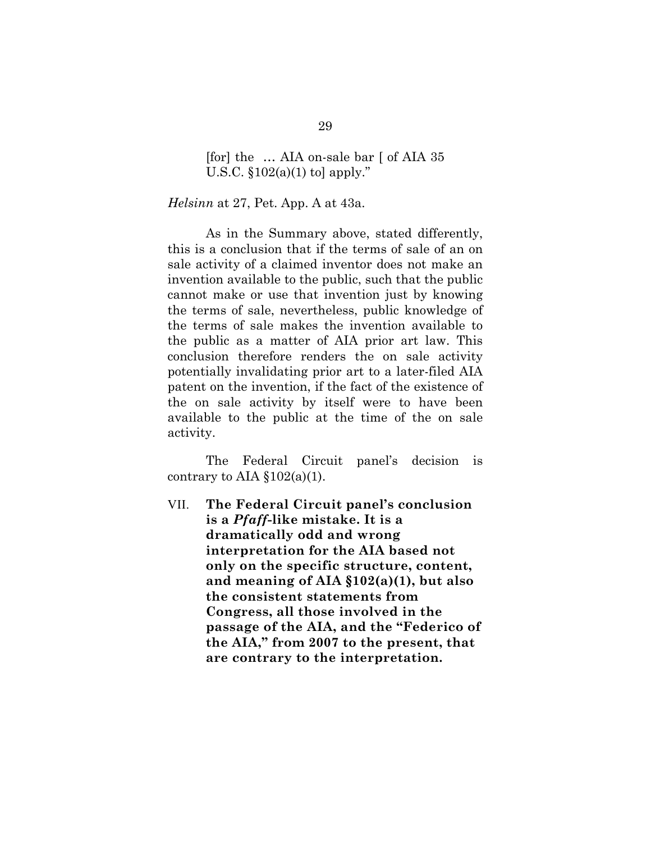[for] the … AIA on-sale bar [ of AIA 35 U.S.C.  $$102(a)(1)$  to apply."

*Helsinn* at 27, Pet. App. A at 43a.

As in the Summary above, stated differently, this is a conclusion that if the terms of sale of an on sale activity of a claimed inventor does not make an invention available to the public, such that the public cannot make or use that invention just by knowing the terms of sale, nevertheless, public knowledge of the terms of sale makes the invention available to the public as a matter of AIA prior art law. This conclusion therefore renders the on sale activity potentially invalidating prior art to a later-filed AIA patent on the invention, if the fact of the existence of the on sale activity by itself were to have been available to the public at the time of the on sale activity.

The Federal Circuit panel's decision is contrary to AIA  $$102(a)(1)$ .

VII. **The Federal Circuit panel's conclusion is a** *Pfaff***-like mistake. It is a dramatically odd and wrong interpretation for the AIA based not only on the specific structure, content, and meaning of AIA §102(a)(1), but also the consistent statements from Congress, all those involved in the passage of the AIA, and the "Federico of the AIA," from 2007 to the present, that are contrary to the interpretation.**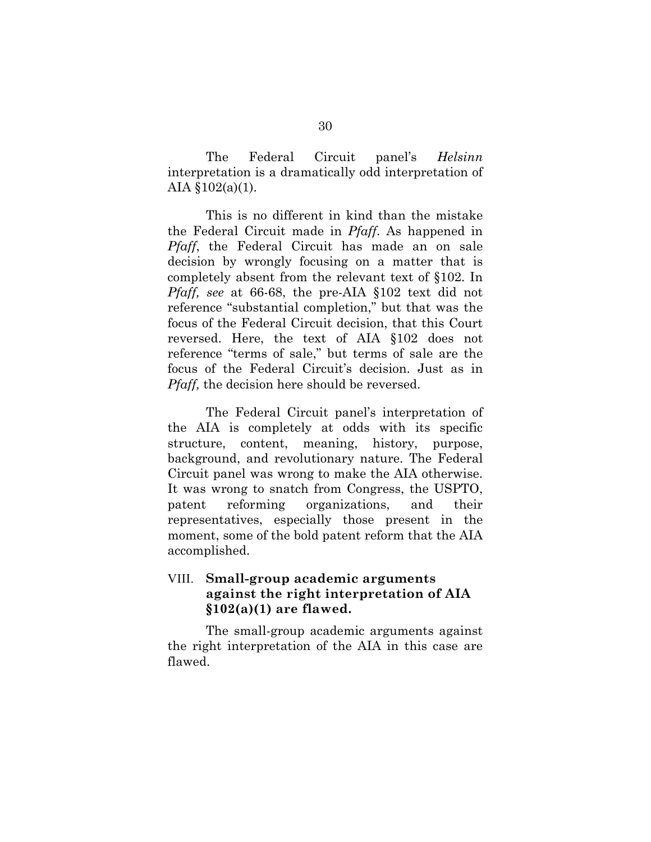The Federal Circuit panel's *Helsinn*  interpretation is a dramatically odd interpretation of AIA §102(a)(1).

This is no different in kind than the mistake the Federal Circuit made in *Pfaff*. As happened in *Pfaff*, the Federal Circuit has made an on sale decision by wrongly focusing on a matter that is completely absent from the relevant text of §102. In *Pfaff, see* at 66-68, the pre-AIA §102 text did not reference "substantial completion," but that was the focus of the Federal Circuit decision, that this Court reversed. Here, the text of AIA §102 does not reference "terms of sale," but terms of sale are the focus of the Federal Circuit's decision. Just as in *Pfaff,* the decision here should be reversed.

The Federal Circuit panel's interpretation of the AIA is completely at odds with its specific structure, content, meaning, history, purpose, background, and revolutionary nature. The Federal Circuit panel was wrong to make the AIA otherwise. It was wrong to snatch from Congress, the USPTO, patent reforming organizations, and their representatives, especially those present in the moment, some of the bold patent reform that the AIA accomplished.

### VIII. **Small-group academic arguments against the right interpretation of AIA §102(a)(1) are flawed.**

The small-group academic arguments against the right interpretation of the AIA in this case are flawed.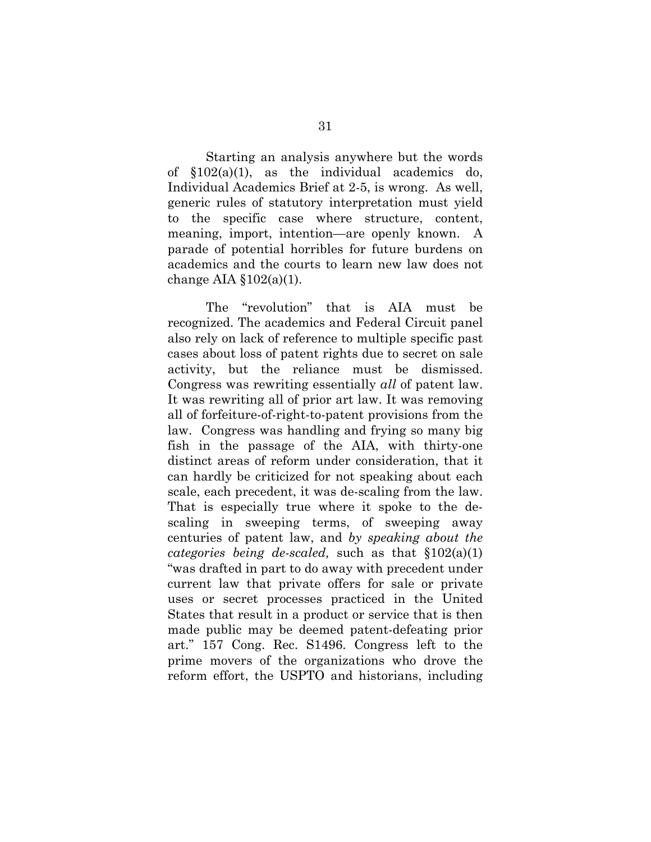Starting an analysis anywhere but the words of §102(a)(1), as the individual academics do, Individual Academics Brief at 2-5, is wrong. As well, generic rules of statutory interpretation must yield to the specific case where structure, content, meaning, import, intention—are openly known. A parade of potential horribles for future burdens on academics and the courts to learn new law does not change AIA  $$102(a)(1)$ .

The "revolution" that is AIA must be recognized. The academics and Federal Circuit panel also rely on lack of reference to multiple specific past cases about loss of patent rights due to secret on sale activity, but the reliance must be dismissed. Congress was rewriting essentially *all* of patent law. It was rewriting all of prior art law. It was removing all of forfeiture-of-right-to-patent provisions from the law. Congress was handling and frying so many big fish in the passage of the AIA, with thirty-one distinct areas of reform under consideration, that it can hardly be criticized for not speaking about each scale, each precedent, it was de-scaling from the law. That is especially true where it spoke to the descaling in sweeping terms, of sweeping away centuries of patent law, and *by speaking about the categories being de-scaled,* such as that §102(a)(1) "was drafted in part to do away with precedent under current law that private offers for sale or private uses or secret processes practiced in the United States that result in a product or service that is then made public may be deemed patent-defeating prior art." 157 Cong. Rec. S1496. Congress left to the prime movers of the organizations who drove the reform effort, the USPTO and historians, including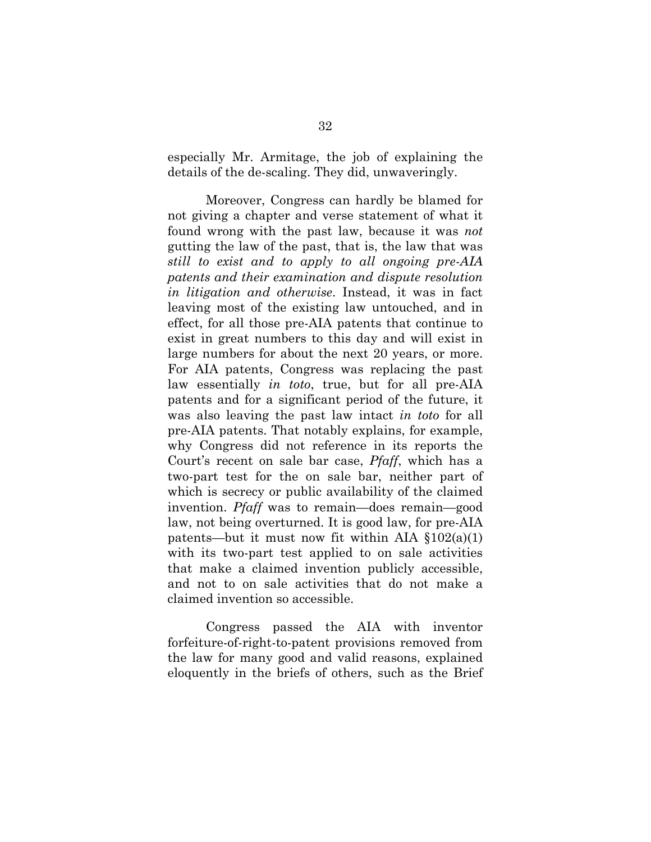especially Mr. Armitage, the job of explaining the details of the de-scaling. They did, unwaveringly.

Moreover, Congress can hardly be blamed for not giving a chapter and verse statement of what it found wrong with the past law, because it was *not*  gutting the law of the past, that is, the law that was *still to exist and to apply to all ongoing pre-AIA patents and their examination and dispute resolution in litigation and otherwise*. Instead, it was in fact leaving most of the existing law untouched, and in effect, for all those pre-AIA patents that continue to exist in great numbers to this day and will exist in large numbers for about the next 20 years, or more. For AIA patents, Congress was replacing the past law essentially *in toto*, true, but for all pre-AIA patents and for a significant period of the future, it was also leaving the past law intact *in toto* for all pre-AIA patents. That notably explains, for example, why Congress did not reference in its reports the Court's recent on sale bar case, *Pfaff*, which has a two-part test for the on sale bar, neither part of which is secrecy or public availability of the claimed invention. *Pfaff* was to remain—does remain—good law, not being overturned. It is good law, for pre-AIA patents—but it must now fit within AIA  $\S 102(a)(1)$ with its two-part test applied to on sale activities that make a claimed invention publicly accessible, and not to on sale activities that do not make a claimed invention so accessible.

Congress passed the AIA with inventor forfeiture-of-right-to-patent provisions removed from the law for many good and valid reasons, explained eloquently in the briefs of others, such as the Brief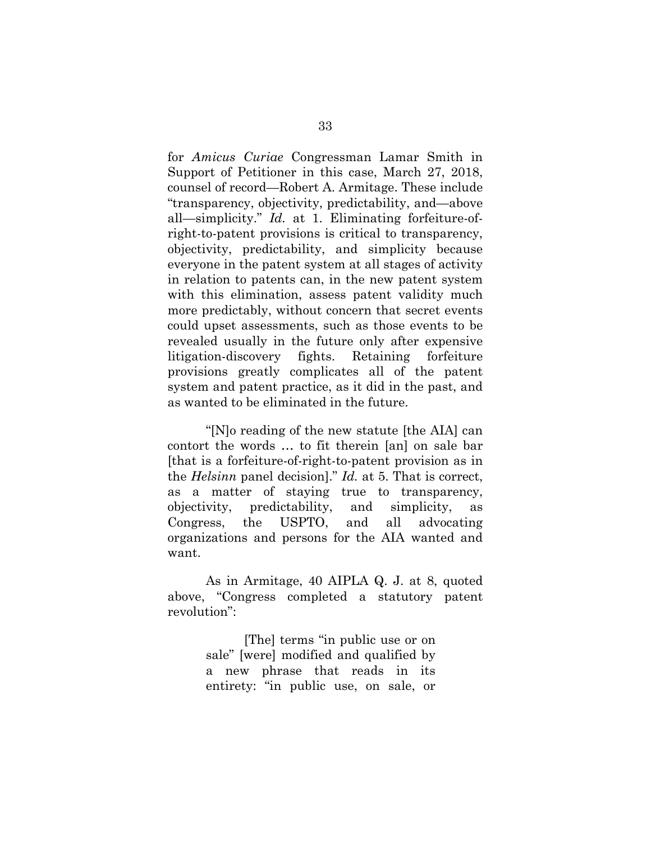for *Amicus Curiae* Congressman Lamar Smith in Support of Petitioner in this case, March 27, 2018, counsel of record—Robert A. Armitage. These include "transparency, objectivity, predictability, and—above all—simplicity." *Id.* at 1. Eliminating forfeiture-ofright-to-patent provisions is critical to transparency, objectivity, predictability, and simplicity because everyone in the patent system at all stages of activity in relation to patents can, in the new patent system with this elimination, assess patent validity much more predictably, without concern that secret events could upset assessments, such as those events to be revealed usually in the future only after expensive litigation-discovery fights. Retaining forfeiture provisions greatly complicates all of the patent system and patent practice, as it did in the past, and as wanted to be eliminated in the future.

"[N]o reading of the new statute [the AIA] can contort the words … to fit therein [an] on sale bar [that is a forfeiture-of-right-to-patent provision as in the *Helsinn* panel decision]." *Id.* at 5. That is correct, as a matter of staying true to transparency, objectivity, predictability, and simplicity, as Congress, the USPTO, and all advocating organizations and persons for the AIA wanted and want.

As in Armitage, 40 AIPLA Q. J. at 8, quoted above, "Congress completed a statutory patent revolution":

> [The] terms "in public use or on sale" [were] modified and qualified by a new phrase that reads in its entirety: "in public use, on sale, or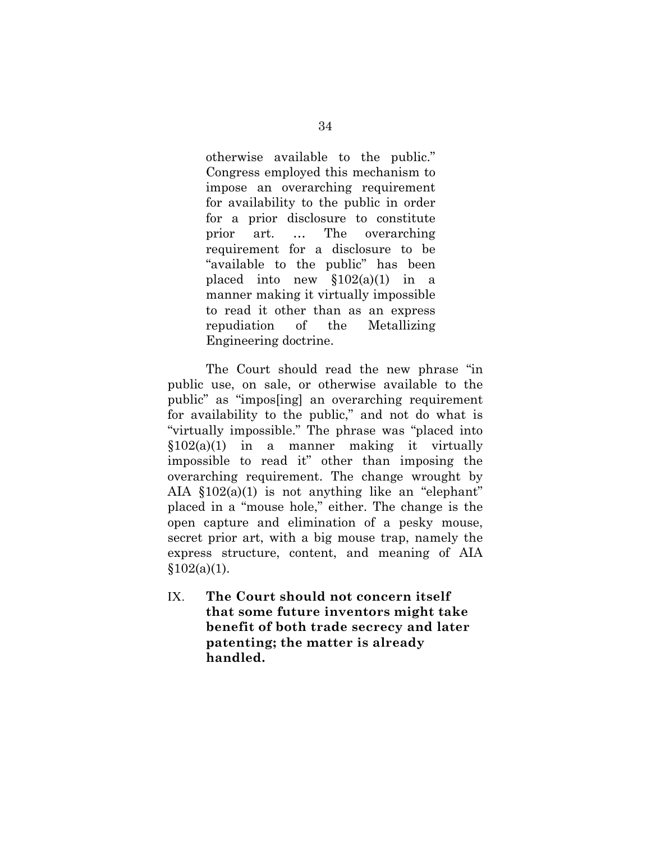otherwise available to the public." Congress employed this mechanism to impose an overarching requirement for availability to the public in order for a prior disclosure to constitute prior art. … The overarching requirement for a disclosure to be "available to the public" has been placed into new  $$102(a)(1)$  in a manner making it virtually impossible to read it other than as an express repudiation of the Metallizing Engineering doctrine.

The Court should read the new phrase "in public use, on sale, or otherwise available to the public" as "impos[ing] an overarching requirement for availability to the public," and not do what is "virtually impossible." The phrase was "placed into  $$102(a)(1)$  in a manner making it virtually impossible to read it" other than imposing the overarching requirement. The change wrought by AIA  $$102(a)(1)$  is not anything like an "elephant" placed in a "mouse hole," either. The change is the open capture and elimination of a pesky mouse, secret prior art, with a big mouse trap, namely the express structure, content, and meaning of AIA  $$102(a)(1)$ .

IX. **The Court should not concern itself that some future inventors might take benefit of both trade secrecy and later patenting; the matter is already handled.**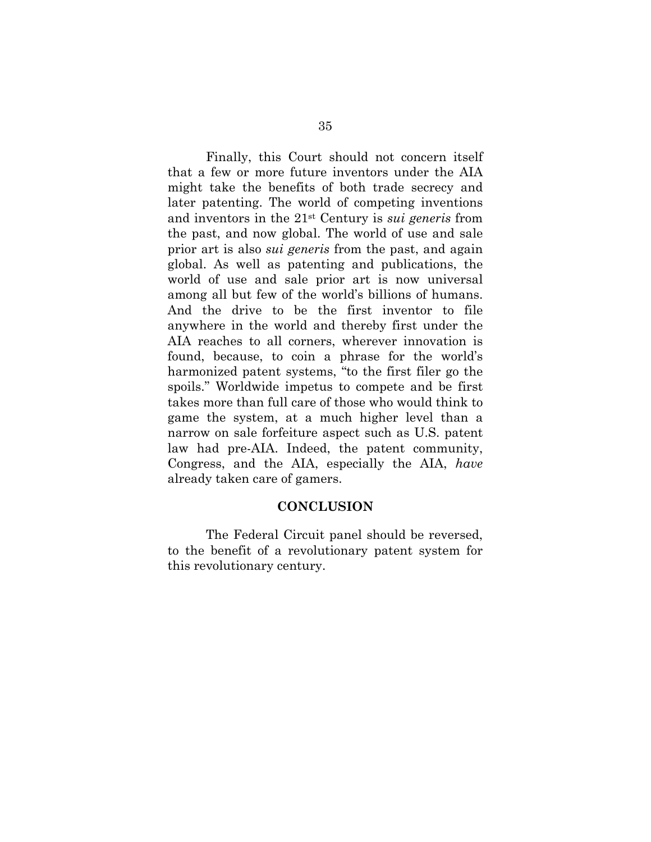Finally, this Court should not concern itself that a few or more future inventors under the AIA might take the benefits of both trade secrecy and later patenting. The world of competing inventions and inventors in the 21st Century is *sui generis* from the past, and now global. The world of use and sale prior art is also *sui generis* from the past, and again global. As well as patenting and publications, the world of use and sale prior art is now universal among all but few of the world's billions of humans. And the drive to be the first inventor to file anywhere in the world and thereby first under the AIA reaches to all corners, wherever innovation is found, because, to coin a phrase for the world's harmonized patent systems, "to the first filer go the spoils." Worldwide impetus to compete and be first takes more than full care of those who would think to game the system, at a much higher level than a narrow on sale forfeiture aspect such as U.S. patent law had pre-AIA. Indeed, the patent community, Congress, and the AIA, especially the AIA, *have* already taken care of gamers.

#### **CONCLUSION**

The Federal Circuit panel should be reversed, to the benefit of a revolutionary patent system for this revolutionary century.